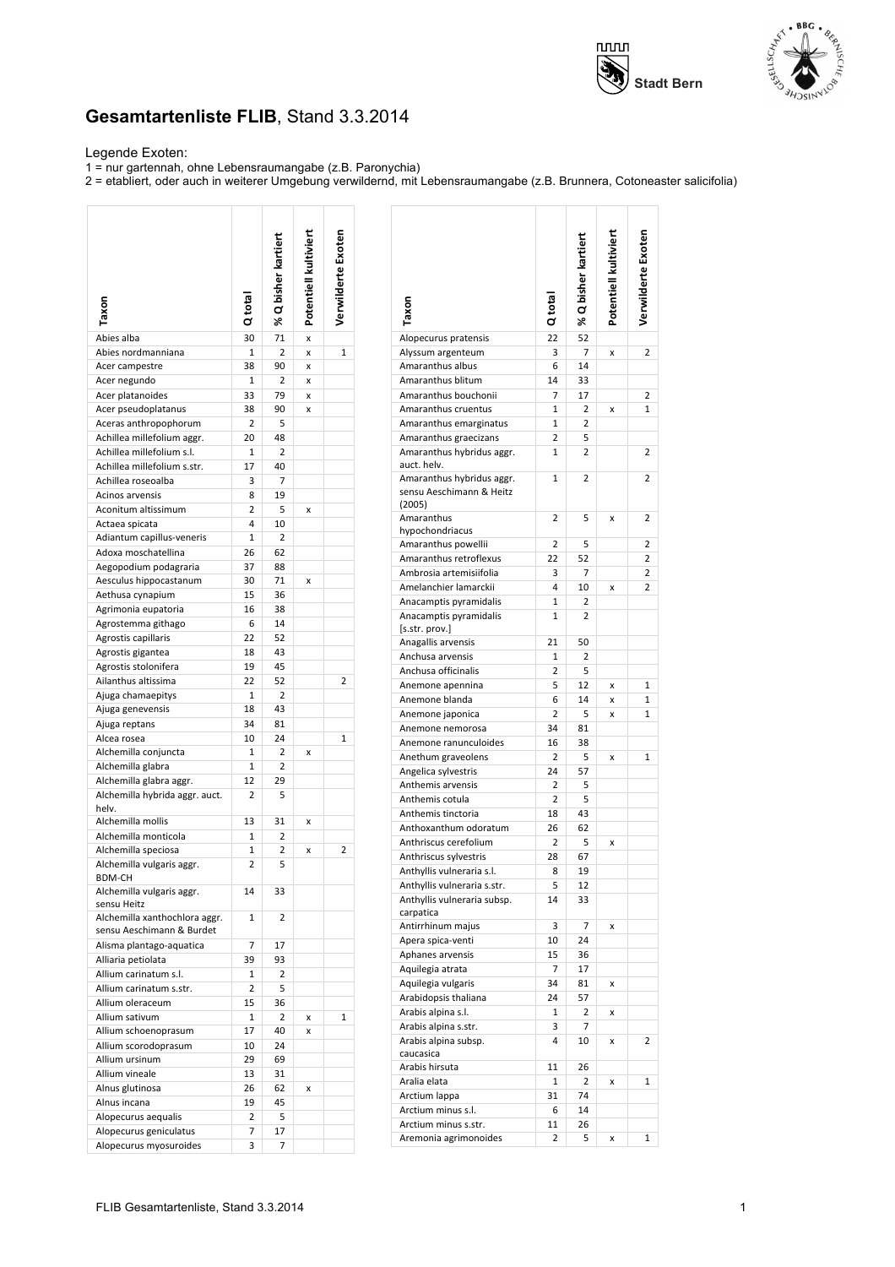



## **Gesamtartenliste FLIB**, Stand 3.3.2014

Legende Exoten:

Ï

1 = nur gartennah, ohne Lebensraumangabe (z.B. Paronychia)

2 = etabliert, oder auch in weiterer Umgebung verwildernd, mit Lebensraumangabe (z.B. Brunnera, Cotoneaster salicifolia)

|                                               | Q total            | Q bisher kartier<br>৯ং | Potentiell kul | Verwilderte Exoter |
|-----------------------------------------------|--------------------|------------------------|----------------|--------------------|
| Abies alba                                    | 30                 | 71                     | X              |                    |
| Abies nordmanniana                            | 1                  | 2                      | x              | $\mathbf{1}$       |
| Acer campestre                                | 38                 | 90                     | x              |                    |
| Acer negundo                                  | $\mathbf{1}$       | 2                      | x              |                    |
| Acer platanoides                              | 33                 | 79                     | x              |                    |
| Acer pseudoplatanus                           | 38                 | 90                     | x              |                    |
| Aceras anthropophorum                         | 2                  | 5                      |                |                    |
| Achillea millefolium aggr.                    | 20                 | 48                     |                |                    |
| Achillea millefolium s.l.                     | $\mathbf{1}$       | 2                      |                |                    |
| Achillea millefolium s.str.                   | 17                 | 40                     |                |                    |
| Achillea roseoalba                            | 3                  | 7                      |                |                    |
| Acinos arvensis                               | 8                  | 19                     |                |                    |
| Aconitum altissimum                           | 2                  | 5                      | x              |                    |
| Actaea spicata                                | 4                  | 10                     |                |                    |
| Adiantum capillus-veneris                     | $\mathbf{1}$       | 2                      |                |                    |
| Adoxa moschatellina                           | 26                 | 62                     |                |                    |
| Aegopodium podagraria                         | 37                 | 88                     |                |                    |
| Aesculus hippocastanum                        | 30                 | 71                     | x              |                    |
| Aethusa cynapium                              | 15                 | 36                     |                |                    |
| Agrimonia eupatoria                           | 16                 | 38                     |                |                    |
| Agrostemma githago                            | 6                  | 14                     |                |                    |
| Agrostis capillaris                           | 22                 | 52                     |                |                    |
| Agrostis gigantea                             | 18                 | 43                     |                |                    |
| Agrostis stolonifera                          | 19                 | 45                     |                |                    |
| Ailanthus altissima                           | 22                 | 52                     |                | 2                  |
| Ajuga chamaepitys                             | $\mathbf{1}$       | 2                      |                |                    |
| Ajuga genevensis                              | 18                 | 43                     |                |                    |
| Ajuga reptans                                 | 34                 | 81                     |                |                    |
| Alcea rosea                                   | 10<br>$\mathbf{1}$ | 24<br>2                | x              | $\mathbf{1}$       |
| Alchemilla conjuncta<br>Alchemilla glabra     | 1                  | 2                      |                |                    |
| Alchemilla glabra aggr.                       | 12                 | 29                     |                |                    |
| Alchemilla hybrida aggr. auct.                | 2                  | 5                      |                |                    |
| helv.                                         |                    |                        |                |                    |
| Alchemilla mollis                             | 13                 | 31                     | x              |                    |
| Alchemilla monticola                          | $\mathbf{1}$       | 2                      |                |                    |
| Alchemilla speciosa                           | 1                  | 2                      | x              | 2                  |
| Alchemilla vulgaris aggr.                     | 2                  | 5                      |                |                    |
| <b>BDM-CH</b>                                 |                    |                        |                |                    |
| Alchemilla vulgaris aggr.<br>sensu Heitz      | 14                 | 33                     |                |                    |
| Alchemilla xanthochlora aggr.                 | 1                  | 2                      |                |                    |
| sensu Aeschimann & Burdet                     |                    |                        |                |                    |
| Alisma plantago-aquatica                      | 7                  | 17                     |                |                    |
| Alliaria petiolata                            | 39                 | 93                     |                |                    |
| Allium carinatum s.l.                         | 1                  | 2                      |                |                    |
| Allium carinatum s.str.                       | 2                  | 5                      |                |                    |
| Allium oleraceum                              | 15                 | 36                     |                |                    |
| Allium sativum                                | 1                  | 2                      | x              | 1                  |
| Allium schoenoprasum                          | 17                 | 40                     | x              |                    |
| Allium scorodoprasum                          | 10                 | 24                     |                |                    |
| Allium ursinum                                | 29                 | 69                     |                |                    |
| Allium vineale                                | 13                 | 31                     |                |                    |
| Alnus glutinosa                               | 26                 | 62                     | x              |                    |
| Alnus incana                                  | 19                 | 45                     |                |                    |
| Alopecurus aequalis<br>Alopecurus geniculatus | 2<br>7             | 5<br>17                |                |                    |
| Alopecurus myosuroides                        | 3                  | 7                      |                |                    |
|                                               |                    |                        |                |                    |

| Taxon                                                           | Q total        | Q bisher kartier<br>گ\$ | Potentiell kultivier | Verwilderte Exoten |
|-----------------------------------------------------------------|----------------|-------------------------|----------------------|--------------------|
| Alopecurus pratensis                                            | 22             | 52                      |                      |                    |
| Alyssum argenteum                                               | 3              | 7                       | X                    | 2                  |
| Amaranthus albus                                                | 6              | 14                      |                      |                    |
| Amaranthus blitum                                               | 14             | 33                      |                      |                    |
| Amaranthus bouchonii                                            | 7              | 17                      |                      | 2                  |
| Amaranthus cruentus                                             | 1              | 2                       |                      | 1                  |
|                                                                 | $\mathbf{1}$   | 2                       | x                    |                    |
| Amaranthus emarginatus                                          |                |                         |                      |                    |
| Amaranthus graecizans                                           | 2              | 5                       |                      |                    |
| Amaranthus hybridus aggr.<br>auct. helv.                        | 1              | 2                       |                      | 2                  |
| Amaranthus hybridus aggr.<br>sensu Aeschimann & Heitz<br>(2005) | 1              | 2                       |                      | 2                  |
| Amaranthus<br>hypochondriacus                                   | 2              | 5                       | X                    | 2                  |
| Amaranthus powellii                                             | 2              | 5                       |                      | 2                  |
| Amaranthus retroflexus                                          | 22             | 52                      |                      | 2                  |
| Ambrosia artemisiifolia                                         | 3              | 7                       |                      | 2                  |
| Amelanchier lamarckii                                           | 4              | 10                      | X                    | 2                  |
| Anacamptis pyramidalis                                          | 1              | 2                       |                      |                    |
| Anacamptis pyramidalis<br>[s.str. prov.]                        | 1              | 2                       |                      |                    |
| Anagallis arvensis                                              | 21             | 50                      |                      |                    |
| Anchusa arvensis                                                | 1              | 2                       |                      |                    |
| Anchusa officinalis                                             | 2              | 5                       |                      |                    |
| Anemone apennina                                                | 5              | 12                      | X                    | 1                  |
| Anemone blanda                                                  | 6              | 14                      | X                    | 1                  |
| Anemone japonica                                                | $\overline{2}$ | 5                       | X                    | 1                  |
| Anemone nemorosa                                                | 34             | 81                      |                      |                    |
| Anemone ranunculoides                                           | 16             | 38                      |                      |                    |
| Anethum graveolens                                              | 2              | 5                       | X                    | 1                  |
| Angelica sylvestris                                             | 24             | 57                      |                      |                    |
| Anthemis arvensis                                               | 2              | 5                       |                      |                    |
| Anthemis cotula                                                 | $\overline{2}$ | 5                       |                      |                    |
| Anthemis tinctoria                                              | 18             | 43                      |                      |                    |
| Anthoxanthum odoratum                                           | 26             | 62                      |                      |                    |
| Anthriscus cerefolium                                           | 2              | 5                       | x                    |                    |
| Anthriscus sylvestris                                           | 28             | 67                      |                      |                    |
| Anthyllis vulneraria s.l.                                       | 8              | 19                      |                      |                    |
| Anthyllis vulneraria s.str.                                     | 5              | 12                      |                      |                    |
| Anthyllis vulneraria subsp.<br>carpatica                        | 14             | 33                      |                      |                    |
| Antirrhinum majus                                               | 3              | $\overline{7}$          | x                    |                    |
| Apera spica-venti                                               | 10             | 24                      |                      |                    |
| Aphanes arvensis                                                | 15             | 36                      |                      |                    |
| Aquilegia atrata                                                | 7              | 17                      |                      |                    |
| Aquilegia vulgaris                                              | 34             | 81                      | x                    |                    |
| Arabidopsis thaliana                                            | 24             | 57                      |                      |                    |
| Arabis alpina s.l.                                              | 1              | 2                       | X                    |                    |
| Arabis alpina s.str.                                            | 3              | 7                       |                      |                    |
| Arabis alpina subsp.<br>caucasica                               | 4              | 10                      | X                    | 2                  |
| Arabis hirsuta                                                  | 11             |                         |                      |                    |
| Aralia elata                                                    | 1              | 26                      |                      | 1                  |
|                                                                 |                | 2                       | X                    |                    |
| Arctium lappa<br>Arctium minus s.l.                             | 31<br>6        | 74<br>14                |                      |                    |
| Arctium minus s.str.                                            | 11             | 26                      |                      |                    |
|                                                                 | 2              | 5                       |                      |                    |
| Aremonia agrimonoides                                           |                |                         | X                    | 1                  |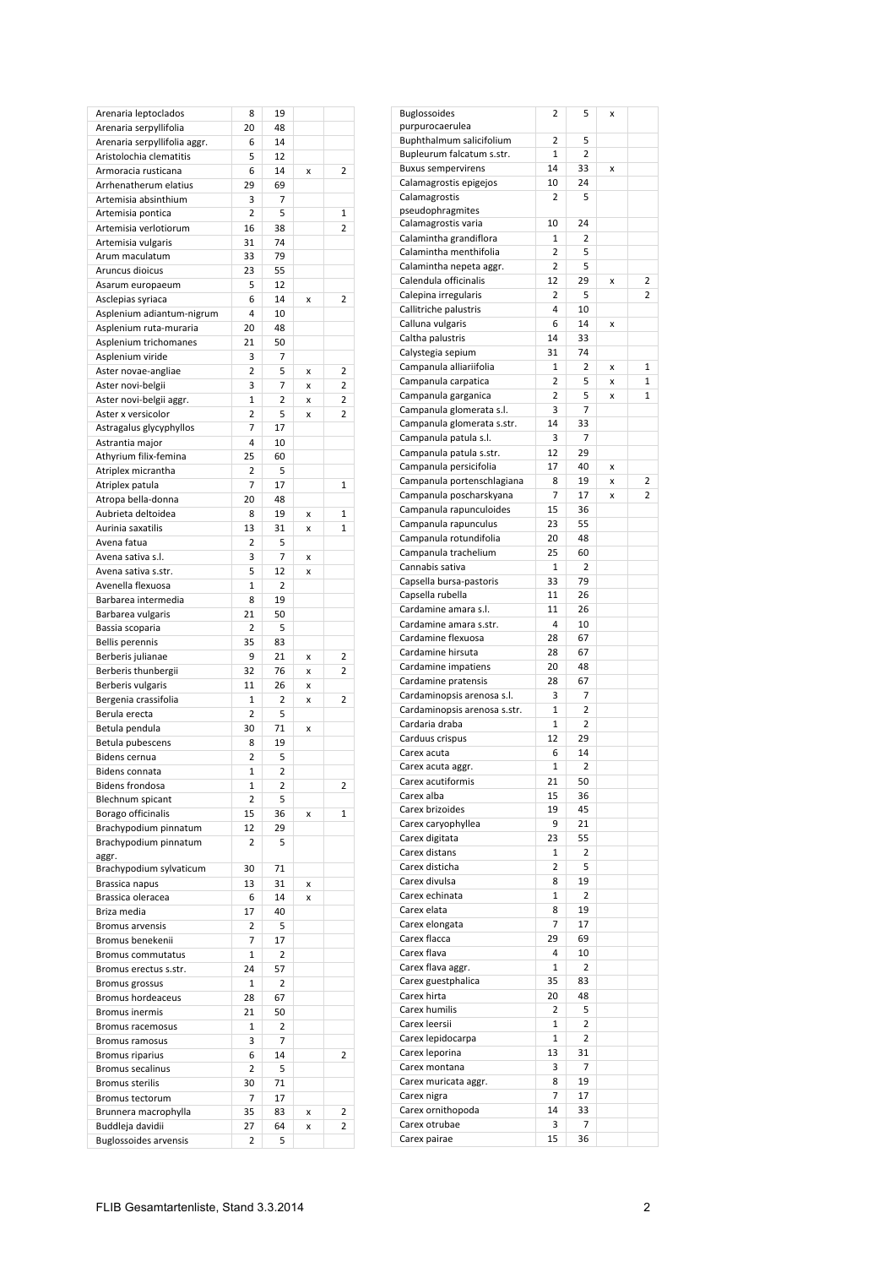| Arenaria leptoclados                     | 8            | 19       |        |              |
|------------------------------------------|--------------|----------|--------|--------------|
| Arenaria serpyllifolia                   | 20           | 48       |        |              |
| Arenaria serpyllifolia aggr.             | 6            | 14       |        |              |
| Aristolochia clematitis                  | 5            | 12       |        |              |
| Armoracia rusticana                      | 6            | 14       | X      | 2            |
| Arrhenatherum elatius                    | 29           | 69       |        |              |
| Artemisia absinthium                     | 3            | 7        |        |              |
| Artemisia pontica                        | 2            | 5        |        | 1            |
| Artemisia verlotiorum                    | 16           | 38       |        | 2            |
| Artemisia vulgaris                       | 31           | 74       |        |              |
| Arum maculatum                           | 33           | 79       |        |              |
| Aruncus dioicus                          | 23<br>5      | 55<br>12 |        |              |
| Asarum europaeum<br>Asclepias syriaca    | 6            | 14       | X      | 2            |
| Asplenium adiantum-nigrum                | 4            | 10       |        |              |
| Asplenium ruta-muraria                   | 20           | 48       |        |              |
| Asplenium trichomanes                    | 21           | 50       |        |              |
| Asplenium viride                         | 3            | 7        |        |              |
| Aster novae-angliae                      | 2            | 5        | x      | 2            |
| Aster novi-belgii                        | 3            | 7        | x      | 2            |
| Aster novi-belgii aggr.                  | $\mathbf{1}$ | 2        | x      | 2            |
| Aster x versicolor                       | 2            | 5        | x      | 2            |
| Astragalus glycyphyllos                  | 7            | 17       |        |              |
| Astrantia major                          | 4            | 10       |        |              |
| Athyrium filix-femina                    | 25           | 60       |        |              |
| Atriplex micrantha                       | 2            | 5        |        |              |
| Atriplex patula                          | 7            | 17       |        | $\mathbf{1}$ |
| Atropa bella-donna                       | 20           | 48       |        |              |
| Aubrieta deltoidea                       | 8            | 19       | x      | 1            |
| Aurinia saxatilis                        | 13           | 31       | x      | 1            |
| Avena fatua                              | 2            | 5        |        |              |
| Avena sativa s.l.                        | 3            | 7        | x      |              |
| Avena sativa s.str.                      | 5            | 12       | X      |              |
| Avenella flexuosa                        | $\mathbf{1}$ | 2        |        |              |
| Barbarea intermedia                      | 8            | 19       |        |              |
| Barbarea vulgaris                        | 21           | 50       |        |              |
| Bassia scoparia                          | 2            | 5        |        |              |
| Bellis perennis                          | 35<br>9      | 83<br>21 |        | 2            |
| Berberis julianae<br>Berberis thunbergii | 32           | 76       | x<br>X | 2            |
| Berberis vulgaris                        | 11           | 26       | x      |              |
| Bergenia crassifolia                     | $\mathbf{1}$ | 2        | X      | 2            |
| Berula erecta                            | 2            | 5        |        |              |
| Betula pendula                           | 30           | 71       | X      |              |
| Betula pubescens                         | 8            | 19       |        |              |
| Bidens cernua                            | 2            | 5        |        |              |
| Bidens connata                           | 1            | 2        |        |              |
| Bidens frondosa                          | 1            | 2        |        | 2            |
| Blechnum spicant                         | 2            | 5        |        |              |
| Borago officinalis                       | 15           | 36       | X      | 1            |
| Brachypodium pinnatum                    | 12           | 29       |        |              |
| Brachypodium pinnatum                    | 2            | 5        |        |              |
| aggr.                                    |              |          |        |              |
| Brachypodium sylvaticum                  | 30           | 71       |        |              |
| Brassica napus<br>Brassica oleracea      | 13           | 31       | x      |              |
| Briza media                              | 6<br>17      | 14<br>40 | x      |              |
| <b>Bromus arvensis</b>                   | 2            | 5        |        |              |
| Bromus benekenii                         | 7            | 17       |        |              |
| <b>Bromus commutatus</b>                 | $\mathbf{1}$ | 2        |        |              |
| Bromus erectus s.str.                    | 24           | 57       |        |              |
| <b>Bromus grossus</b>                    | 1            | 2        |        |              |
| Bromus hordeaceus                        | 28           | 67       |        |              |
| <b>Bromus inermis</b>                    | 21           | 50       |        |              |
| Bromus racemosus                         | $\mathbf{1}$ | 2        |        |              |
| <b>Bromus ramosus</b>                    | 3            | 7        |        |              |
| <b>Bromus riparius</b>                   | 6            | 14       |        | 2            |
| <b>Bromus secalinus</b>                  | 2            | 5        |        |              |
| <b>Bromus sterilis</b>                   | 30           | 71       |        |              |
| Bromus tectorum                          | 7            | 17       |        |              |
| Brunnera macrophylla                     | 35           | 83       | x      | 2            |
| Buddleja davidii                         | 27           | 64       | X      | 2            |
| <b>Buglossoides arvensis</b>             | 2            | 5        |        |              |

| <b>Buglossoides</b><br>purpurocaerulea     | 2            | 5              | X |                |
|--------------------------------------------|--------------|----------------|---|----------------|
| Buphthalmum salicifolium                   | 2            | 5              |   |                |
| Bupleurum falcatum s.str.                  | $\mathbf{1}$ | $\overline{2}$ |   |                |
| <b>Buxus sempervirens</b>                  | 14           | 33             | X |                |
| Calamagrostis epigejos                     | 10           | 24             |   |                |
| Calamagrostis                              | 2            | 5              |   |                |
| pseudophragmites                           |              |                |   |                |
| Calamagrostis varia                        | 10           | 24             |   |                |
| Calamintha grandiflora                     | 1            | 2              |   |                |
| Calamintha menthifolia                     | 2            | 5              |   |                |
| Calamintha nepeta aggr.                    | 2            | 5              |   |                |
| Calendula officinalis                      | 12           | 29             | X | 2              |
| Calepina irregularis                       | 2            | 5              |   | $\overline{2}$ |
| Callitriche palustris<br>Calluna vulgaris  | 4<br>6       | 10<br>14       | X |                |
| Caltha palustris                           | 14           | 33             |   |                |
| Calystegia sepium                          | 31           | 74             |   |                |
| Campanula alliariifolia                    | 1            | 2              | X | 1              |
| Campanula carpatica                        | 2            | 5              | X | 1              |
| Campanula garganica                        | 2            | 5              | X | 1              |
| Campanula glomerata s.l.                   | 3            | 7              |   |                |
| Campanula glomerata s.str.                 | 14           | 33             |   |                |
| Campanula patula s.l.                      | 3            | 7              |   |                |
| Campanula patula s.str.                    | 12           | 29             |   |                |
| Campanula persicifolia                     | 17           | 40             | X |                |
| Campanula portenschlagiana                 | 8            | 19             | X | 2              |
| Campanula poscharskyana                    | 7            | 17             | x | $\overline{2}$ |
| Campanula rapunculoides                    | 15           | 36             |   |                |
| Campanula rapunculus                       | 23           | 55             |   |                |
| Campanula rotundifolia                     | 20           | 48             |   |                |
| Campanula trachelium                       | 25           | 60             |   |                |
| Cannabis sativa                            | $\mathbf{1}$ | 2              |   |                |
| Capsella bursa-pastoris                    | 33           | 79             |   |                |
| Capsella rubella                           | 11           | 26             |   |                |
| Cardamine amara s.l.                       | 11           | 26             |   |                |
| Cardamine amara s.str.                     | 4            | 10             |   |                |
| Cardamine flexuosa                         | 28           | 67             |   |                |
| Cardamine hirsuta                          | 28           | 67             |   |                |
| Cardamine impatiens<br>Cardamine pratensis | 20<br>28     | 48<br>67       |   |                |
| Cardaminopsis arenosa s.l.                 | 3            | 7              |   |                |
| Cardaminopsis arenosa s.str.               | 1            | 2              |   |                |
| Cardaria draba                             | 1            | $\overline{2}$ |   |                |
| Carduus crispus                            | 12           | 29             |   |                |
| Carex acuta                                | 6            | 14             |   |                |
| Carex acuta aggr.                          | 1            | 2              |   |                |
| Carex acutiformis                          | 21           | 50             |   |                |
| Carex alba                                 | 15           | 36             |   |                |
| Carex brizoides                            | 19           | 45             |   |                |
| Carex caryophyllea                         | 9            | 21             |   |                |
| Carex digitata                             | 23           | 55             |   |                |
| Carex distans                              | 1            | 2              |   |                |
| Carex disticha                             | 2            | 5              |   |                |
| Carex divulsa                              | 8            | 19             |   |                |
| Carex echinata                             | 1            | 2              |   |                |
| Carex elata                                | 8            | 19             |   |                |
| Carex elongata                             | 7            | 17             |   |                |
| Carex flacca<br>Carex flava                | 29           | 69             |   |                |
| Carex flava aggr.                          | 4<br>1       | 10<br>2        |   |                |
| Carex guestphalica                         | 35           | 83             |   |                |
| Carex hirta                                | 20           | 48             |   |                |
| Carex humilis                              | 2            | 5              |   |                |
| Carex leersii                              | 1            | 2              |   |                |
| Carex lepidocarpa                          | 1            | 2              |   |                |
| Carex leporina                             | 13           | 31             |   |                |
| Carex montana                              | 3            | 7              |   |                |
| Carex muricata aggr.                       | 8            | 19             |   |                |
| Carex nigra                                | 7            | 17             |   |                |
| Carex ornithopoda                          | 14           | 33             |   |                |
| Carex otrubae                              | 3            | 7              |   |                |
| Carex pairae                               | 15           | 36             |   |                |
|                                            |              |                |   |                |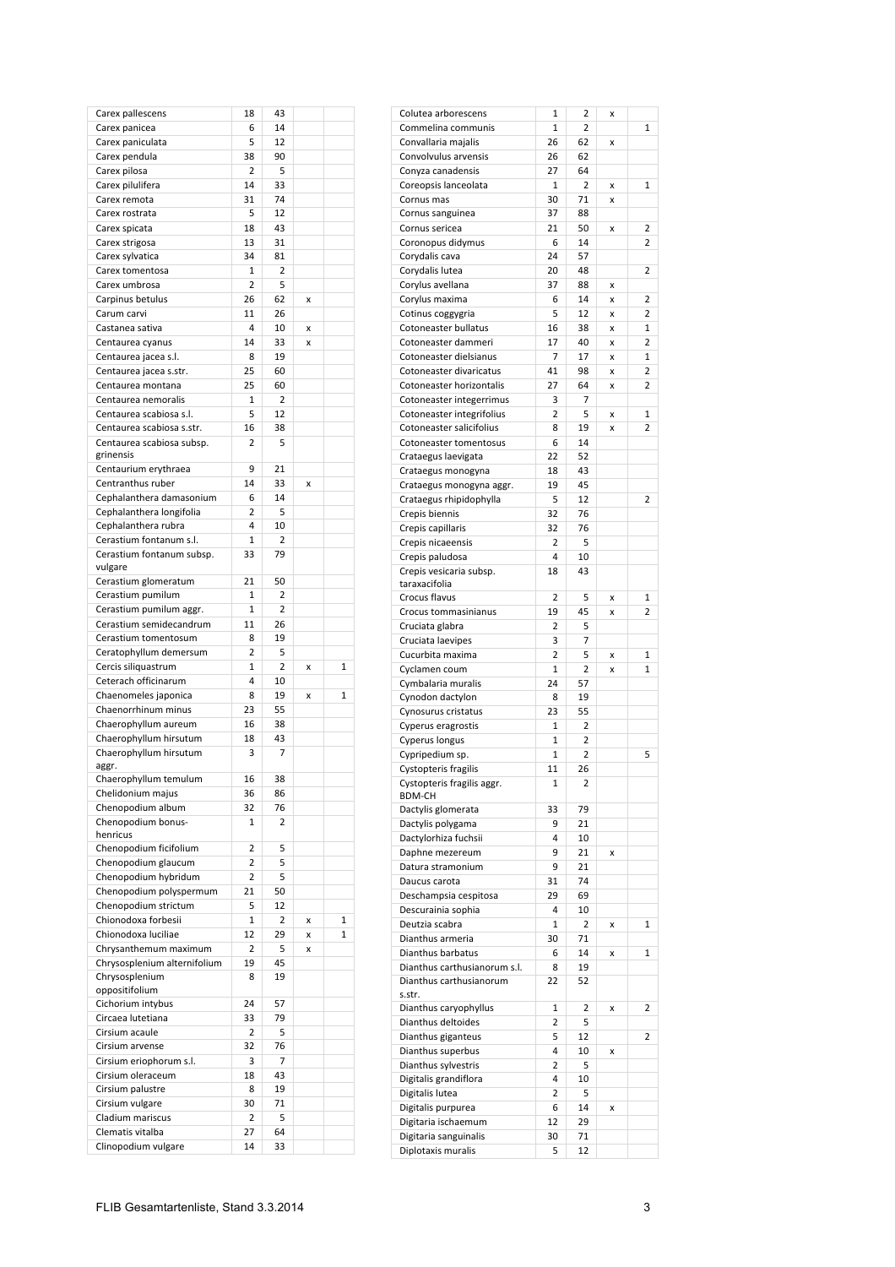| Carex pallescens                        | 18             | 43       |   |              |
|-----------------------------------------|----------------|----------|---|--------------|
| Carex panicea                           | 6              | 14       |   |              |
| Carex paniculata                        | 5              | 12       |   |              |
| Carex pendula                           | 38             | 90       |   |              |
| Carex pilosa                            | 2              | 5        |   |              |
| Carex pilulifera                        | 14             | 33       |   |              |
| Carex remota                            | 31             | 74       |   |              |
| Carex rostrata                          | 5              | 12       |   |              |
| Carex spicata                           | 18             | 43       |   |              |
| Carex strigosa                          | 13             | 31       |   |              |
| Carex sylvatica                         | 34             | 81       |   |              |
| Carex tomentosa                         | 1              | 2        |   |              |
| Carex umbrosa                           | $\overline{2}$ | 5        |   |              |
| Carpinus betulus                        | 26             | 62       | X |              |
| Carum carvi                             | 11             | 26       |   |              |
| Castanea sativa                         | 4              | 10       | x |              |
| Centaurea cyanus                        | 14             | 33       | X |              |
| Centaurea jacea s.l.                    | 8              | 19       |   |              |
| Centaurea jacea s.str.                  | 25             | 60       |   |              |
| Centaurea montana                       | 25             | 60       |   |              |
| Centaurea nemoralis                     | 1              | 2        |   |              |
| Centaurea scabiosa s.l.                 | 5              | 12       |   |              |
| Centaurea scabiosa s.str.               | 16             | 38       |   |              |
|                                         |                |          |   |              |
| Centaurea scabiosa subsp.<br>grinensis  | 2              | 5        |   |              |
| Centaurium erythraea                    | 9              | 21       |   |              |
| Centranthus ruber                       |                |          |   |              |
|                                         | 14             | 33       | X |              |
| Cephalanthera damasonium                | 6              | 14       |   |              |
| Cephalanthera longifolia                | 2              | 5        |   |              |
| Cephalanthera rubra                     | 4              | 10       |   |              |
| Cerastium fontanum s.l.                 | $\mathbf{1}$   | 2        |   |              |
| Cerastium fontanum subsp.<br>vulgare    | 33             | 79       |   |              |
| Cerastium glomeratum                    | 21             | 50       |   |              |
| Cerastium pumilum                       | 1              | 2        |   |              |
| Cerastium pumilum aggr.                 | 1              | 2        |   |              |
| Cerastium semidecandrum                 | 11             | 26       |   |              |
| Cerastium tomentosum                    | 8              | 19       |   |              |
| Ceratophyllum demersum                  | 2              | 5        |   |              |
|                                         | $\mathbf{1}$   | 2        | X | 1            |
| Cercis siliquastrum                     |                |          |   |              |
| Ceterach officinarum                    | 4              | 10       |   | $\mathbf{1}$ |
| Chaenomeles japonica                    | 8              | 19       | X |              |
| Chaenorrhinum minus                     | 23             | 55       |   |              |
| Chaerophyllum aureum                    | 16             | 38       |   |              |
| Chaerophyllum hirsutum                  | 18             | 43       |   |              |
| Chaerophyllum hirsutum<br>aggr.         | 3              | 7        |   |              |
| Chaerophyllum temulum                   | 16             | 38       |   |              |
| Chelidonium majus                       | 36             | 86       |   |              |
| Chenopodium album                       | 32             | 76       |   |              |
| Chenopodium bonus-                      | 1              | 2        |   |              |
| henricus                                |                |          |   |              |
| Chenopodium ficifolium                  | 2              | 5        |   |              |
| Chenopodium glaucum                     | $\overline{2}$ | 5        |   |              |
| Chenopodium hybridum                    | 2              | 5        |   |              |
| Chenopodium polyspermum                 | 21             | 50       |   |              |
| Chenopodium strictum                    | 5              | 12       |   |              |
| Chionodoxa forbesii                     | 1              | 2        | X | $\mathbf{1}$ |
| Chionodoxa luciliae                     | 12             | 29       | x | $\mathbf{1}$ |
| Chrysanthemum maximum                   | 2              | 5        | X |              |
| Chrysosplenium alternifolium            | 19             | 45       |   |              |
| Chrysosplenium                          | 8              | 19       |   |              |
| oppositifolium                          |                |          |   |              |
| Cichorium intybus                       | 24             | 57       |   |              |
| Circaea lutetiana                       | 33             | 79       |   |              |
| Cirsium acaule                          | 2              | 5        |   |              |
| Cirsium arvense                         | 32             | 76       |   |              |
| Cirsium eriophorum s.l.                 | 3              | 7        |   |              |
| Cirsium oleraceum                       | 18             | 43       |   |              |
| Cirsium palustre                        | 8              | 19       |   |              |
| Cirsium vulgare                         | 30             | 71       |   |              |
| Cladium mariscus                        |                |          |   |              |
|                                         |                |          |   |              |
|                                         | 2              | 5        |   |              |
| Clematis vitalba<br>Clinopodium vulgare | 27<br>14       | 64<br>33 |   |              |

| Colutea arborescens                       | $\overline{1}$     | 2                    |   |                |
|-------------------------------------------|--------------------|----------------------|---|----------------|
|                                           |                    |                      | x |                |
| Commelina communis<br>Convallaria majalis | $\mathbf{1}$<br>26 | $\overline{2}$<br>62 | X | 1              |
| Convolvulus arvensis                      | 26                 | 62                   |   |                |
|                                           | 27                 | 64                   |   |                |
| Conyza canadensis                         | $\mathbf{1}$       |                      |   | 1              |
| Coreopsis lanceolata                      |                    | 2                    | X |                |
| Cornus mas                                | 30                 | 71                   | X |                |
| Cornus sanguinea                          | 37                 | 88                   |   |                |
| Cornus sericea                            | 21                 | 50                   | X | 2              |
| Coronopus didymus                         | 6                  | 14                   |   | 2              |
| Corydalis cava                            | 24                 | 57                   |   |                |
| Corydalis lutea                           | 20                 | 48                   |   | $\overline{2}$ |
| Corylus avellana                          | 37                 | 88                   | X |                |
| Corylus maxima                            | 6                  | 14                   | X | 2              |
| Cotinus coggygria                         | 5                  | 12                   | X | 2              |
| Cotoneaster bullatus                      | 16                 | 38                   | X | 1              |
| Cotoneaster dammeri                       | 17                 | 40                   | X | 2              |
| Cotoneaster dielsianus                    | 7                  | 17                   | X | 1              |
| Cotoneaster divaricatus                   | 41                 | 98                   | X | 2              |
| Cotoneaster horizontalis                  | 27                 | 64                   | X | 2              |
| Cotoneaster integerrimus                  | 3                  | 7                    |   |                |
| Cotoneaster integrifolius                 | 2                  | 5                    | X | 1              |
| Cotoneaster salicifolius                  | 8                  | 19                   | X | 2              |
| Cotoneaster tomentosus                    | 6                  | 14                   |   |                |
| Crataegus laevigata                       | 22                 | 52                   |   |                |
| Crataegus monogyna                        | 18                 | 43                   |   |                |
| Crataegus monogyna aggr.                  | 19                 | 45                   |   |                |
| Crataegus rhipidophylla                   | 5                  | 12                   |   | 2              |
| Crepis biennis                            | 32                 | 76                   |   |                |
| Crepis capillaris                         | 32                 | 76                   |   |                |
| Crepis nicaeensis                         | 2                  | 5                    |   |                |
| Crepis paludosa                           | 4                  | 10                   |   |                |
| Crepis vesicaria subsp.                   | 18                 | 43                   |   |                |
| taraxacifolia                             |                    |                      |   |                |
| Crocus flavus                             | 2                  | 5                    | X | 1              |
| Crocus tommasinianus                      | 19                 | 45                   | x | 2              |
| Cruciata glabra                           | 2                  | 5                    |   |                |
| Cruciata laevipes                         | 3                  | 7                    |   |                |
| Cucurbita maxima                          | 2                  | 5                    | X | 1              |
| Cyclamen coum                             | 1                  | 2                    | X | $\mathbf{1}$   |
|                                           | 24                 | 57                   |   |                |
| Cymbalaria muralis                        | 8                  |                      |   |                |
| Cynodon dactylon                          |                    | 19                   |   |                |
| Cynosurus cristatus                       | 23                 | 55                   |   |                |
| Cyperus eragrostis                        | 1                  | 2                    |   |                |
| <b>Cyperus longus</b>                     | 1                  | 2                    |   |                |
| Cypripedium sp.                           | 1                  | 2                    |   | 5              |
| Cystopteris fragilis                      | 11                 | 26                   |   |                |
| Cystopteris fragilis aggr.                | 1                  | 2                    |   |                |
| BDM-CH                                    |                    |                      |   |                |
| Dactylis glomerata                        | 33                 | 79                   |   |                |
| Dactylis polygama                         | 9                  | 21                   |   |                |
| Dactylorhiza fuchsii                      | 4                  | 10                   |   |                |
| Daphne mezereum                           | 9                  | 21                   | X |                |
| Datura stramonium                         | 9                  | 21                   |   |                |
| Daucus carota                             | 31                 | 74                   |   |                |
| Deschampsia cespitosa                     | 29                 | 69                   |   |                |
| Descurainia sophia                        | 4                  | 10                   |   |                |
| Deutzia scabra                            | 1                  | 2                    | x | 1              |
| Dianthus armeria                          | 30                 | 71                   |   |                |
| Dianthus barbatus                         | 6                  | 14                   | X | 1              |
| Dianthus carthusianorum s.l.              | 8                  | 19                   |   |                |
| Dianthus carthusianorum                   | 22                 | 52                   |   |                |
| s.str.                                    |                    |                      |   |                |
| Dianthus caryophyllus                     | 1                  | 2                    | X | 2              |
| Dianthus deltoides                        | 2                  | 5                    |   |                |
| Dianthus giganteus                        | 5                  | 12                   |   | 2              |
| Dianthus superbus                         | 4                  | 10                   | x |                |
| Dianthus sylvestris                       | 2                  | 5                    |   |                |
| Digitalis grandiflora                     | 4                  | 10                   |   |                |
| Digitalis lutea                           | 2                  | 5                    |   |                |
| Digitalis purpurea                        | 6                  | 14                   | X |                |
| Digitaria ischaemum                       | 12                 | 29                   |   |                |
| Digitaria sanguinalis                     | 30                 | 71                   |   |                |
|                                           |                    |                      |   |                |
| Diplotaxis muralis                        | 5                  | 12                   |   |                |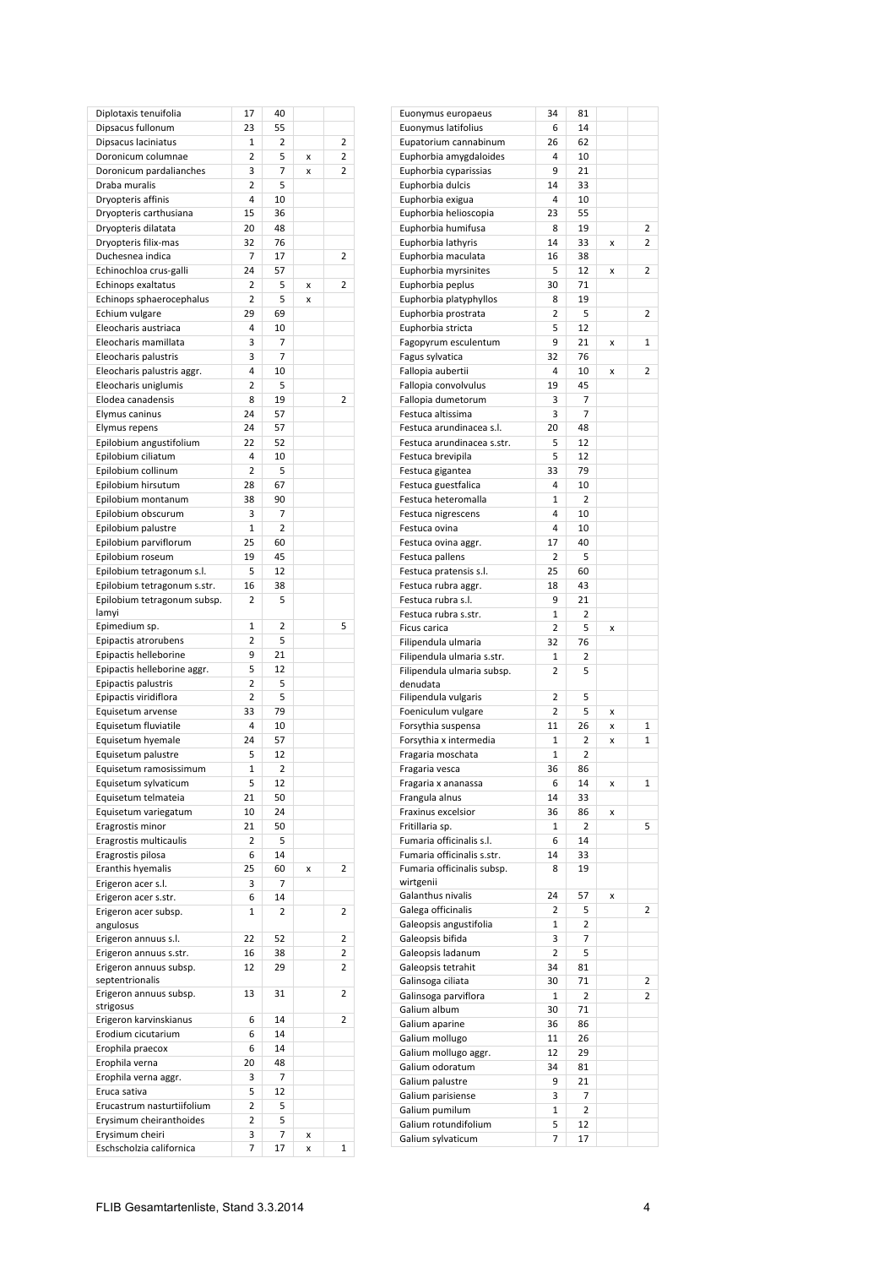| Diplotaxis tenuifolia       | 17           | 40 |   |   |
|-----------------------------|--------------|----|---|---|
| Dipsacus fullonum           | 23           | 55 |   |   |
| Dipsacus laciniatus         | 1            | 2  |   | 2 |
| Doronicum columnae          | 2            | 5  | x | 2 |
| Doronicum pardalianches     | 3            | 7  | x | 2 |
| Draba muralis               | 2            | 5  |   |   |
| Dryopteris affinis          | 4            | 10 |   |   |
| Dryopteris carthusiana      | 15           | 36 |   |   |
|                             | 20           | 48 |   |   |
| Dryopteris dilatata         |              |    |   |   |
| Dryopteris filix-mas        | 32           | 76 |   |   |
| Duchesnea indica            | 7            | 17 |   | 2 |
| Echinochloa crus-galli      | 24           | 57 |   |   |
| Echinops exaltatus          | 2            | 5  | x | 2 |
| Echinops sphaerocephalus    | 2            | 5  | x |   |
| Echium vulgare              | 29           | 69 |   |   |
| Eleocharis austriaca        | 4            | 10 |   |   |
| Eleocharis mamillata        | 3            | 7  |   |   |
| Eleocharis palustris        | 3            | 7  |   |   |
| Eleocharis palustris aggr.  | 4            | 10 |   |   |
| Eleocharis uniglumis        | 2            | 5  |   |   |
| Elodea canadensis           | 8            | 19 |   | 2 |
| Elymus caninus              | 24           | 57 |   |   |
| Elymus repens               | 24           | 57 |   |   |
| Epilobium angustifolium     | 22           | 52 |   |   |
| Epilobium ciliatum          | 4            | 10 |   |   |
| Epilobium collinum          | 2            |    |   |   |
|                             |              | 5  |   |   |
| Epilobium hirsutum          | 28           | 67 |   |   |
| Epilobium montanum          | 38           | 90 |   |   |
| Epilobium obscurum          | 3            | 7  |   |   |
| Epilobium palustre          | $\mathbf{1}$ | 2  |   |   |
| Epilobium parviflorum       | 25           | 60 |   |   |
| Epilobium roseum            | 19           | 45 |   |   |
| Epilobium tetragonum s.l.   | 5            | 12 |   |   |
| Epilobium tetragonum s.str. | 16           | 38 |   |   |
| Epilobium tetragonum subsp. | 2            | 5  |   |   |
| lamyi                       |              |    |   |   |
| Epimedium sp.               | 1            | 2  |   | 5 |
| Epipactis atrorubens        | 2            | 5  |   |   |
| Epipactis helleborine       | 9            | 21 |   |   |
| Epipactis helleborine aggr. | 5            | 12 |   |   |
| Epipactis palustris         | 2            | 5  |   |   |
| Epipactis viridiflora       | 2            | 5  |   |   |
|                             | 33           | 79 |   |   |
| Equisetum arvense           | 4            |    |   |   |
| Equisetum fluviatile        |              | 10 |   |   |
| Equisetum hyemale           | 24           | 57 |   |   |
| Equisetum palustre          | 5            | 12 |   |   |
| Equisetum ramosissimum      | 1            | 2  |   |   |
| Equisetum sylvaticum        | 5            | 12 |   |   |
| Equisetum telmateia         | 21           | 50 |   |   |
| Equisetum variegatum        | 10           | 24 |   |   |
| Eragrostis minor            | 21           | 50 |   |   |
| Eragrostis multicaulis      | 2            | 5  |   |   |
| Eragrostis pilosa           | 6            | 14 |   |   |
| Eranthis hyemalis           | 25           | 60 | X | 2 |
| Erigeron acer s.l.          | 3            | 7  |   |   |
| Erigeron acer s.str.        | 6            | 14 |   |   |
| Erigeron acer subsp.        | 1            | 2  |   | 2 |
| angulosus                   |              |    |   |   |
| Erigeron annuus s.l.        | 22           | 52 |   | 2 |
|                             |              | 38 |   | 2 |
| Erigeron annuus s.str.      | 16           |    |   |   |
| Erigeron annuus subsp.      | 12           | 29 |   | 2 |
| septentrionalis             |              |    |   |   |
| Erigeron annuus subsp.      | 13           | 31 |   | 2 |
| strigosus                   |              |    |   | 2 |
| Erigeron karvinskianus      | 6            | 14 |   |   |
| Erodium cicutarium          | 6            | 14 |   |   |
| Erophila praecox            | 6            | 14 |   |   |
| Erophila verna              | 20           | 48 |   |   |
| Erophila verna aggr.        | 3            | 7  |   |   |
| Eruca sativa                | 5            | 12 |   |   |
| Erucastrum nasturtiifolium  | 2            | 5  |   |   |
| Erysimum cheiranthoides     | 2            | 5  |   |   |
| Erysimum cheiri             | 3            | 7  | X |   |
| Eschscholzia californica    | 7            | 17 | X | 1 |

| Euonymus europaeus         | 34 | 81             |   |                |
|----------------------------|----|----------------|---|----------------|
| Euonymus latifolius        | 6  | 14             |   |                |
| Eupatorium cannabinum      | 26 | 62             |   |                |
| Euphorbia amygdaloides     | 4  | 10             |   |                |
| Euphorbia cyparissias      | 9  | 21             |   |                |
| Euphorbia dulcis           | 14 | 33             |   |                |
| Euphorbia exigua           | 4  | 10             |   |                |
| Euphorbia helioscopia      | 23 | 55             |   |                |
| Euphorbia humifusa         | 8  | 19             |   | 2              |
| Euphorbia lathyris         | 14 | 33             | X | 2              |
| Euphorbia maculata         | 16 | 38             |   |                |
| Euphorbia myrsinites       | 5  | 12             | X | 2              |
| Euphorbia peplus           | 30 | 71             |   |                |
| Euphorbia platyphyllos     | 8  | 19             |   |                |
|                            | 2  | 5              |   | 2              |
| Euphorbia prostrata        |    |                |   |                |
| Euphorbia stricta          | 5  | 12             |   |                |
| Fagopyrum esculentum       | 9  | 21             | X | 1              |
| Fagus sylvatica            | 32 | 76             |   |                |
| Fallopia aubertii          | 4  | 10             | X | $\overline{2}$ |
| Fallopia convolvulus       | 19 | 45             |   |                |
| Fallopia dumetorum         | 3  | 7              |   |                |
| Festuca altissima          | 3  | $\overline{7}$ |   |                |
| Festuca arundinacea s.l.   | 20 | 48             |   |                |
| Festuca arundinacea s.str. | 5  | 12             |   |                |
| Festuca brevipila          | 5  | 12             |   |                |
| Festuca gigantea           | 33 | 79             |   |                |
| Festuca guestfalica        | 4  | 10             |   |                |
| Festuca heteromalla        | 1  | $\overline{2}$ |   |                |
| Festuca nigrescens         | 4  | 10             |   |                |
| Festuca ovina              | 4  | 10             |   |                |
| Festuca ovina aggr.        | 17 | 40             |   |                |
| Festuca pallens            | 2  | 5              |   |                |
| Festuca pratensis s.l.     | 25 | 60             |   |                |
| Festuca rubra aggr.        | 18 | 43             |   |                |
| Festuca rubra s.l.         | 9  | 21             |   |                |
| Festuca rubra s.str.       | 1  | 2              |   |                |
| Ficus carica               | 2  | 5              | X |                |
| Filipendula ulmaria        | 32 | 76             |   |                |
| Filipendula ulmaria s.str. | 1  | 2              |   |                |
| Filipendula ulmaria subsp. | 2  | 5              |   |                |
| denudata                   |    |                |   |                |
| Filipendula vulgaris       | 2  | 5              |   |                |
| Foeniculum vulgare         | 2  | 5              | X |                |
| Forsythia suspensa         | 11 | 26             | x | 1              |
| Forsythia x intermedia     | 1  | 2              | x | 1              |
| Fragaria moschata          | 1  | 2              |   |                |
| Fragaria vesca             | 36 | 86             |   |                |
|                            |    |                |   |                |
| Fragaria x ananassa        | 6  | 14             | X | 1              |
| Frangula alnus             | 14 | 33             |   |                |
| Fraxinus excelsior         | 36 | 86             | X |                |
| Fritillaria sp.            | 1  | 2              |   | 5              |
| Fumaria officinalis s.l.   | 6  | 14             |   |                |
| Fumaria officinalis s.str. | 14 | 33             |   |                |
| Fumaria officinalis subsp. | 8  | 19             |   |                |
| wirtgenii                  |    |                |   |                |
| Galanthus nivalis          | 24 | 57             | x |                |
| Galega officinalis         | 2  | 5              |   | 2              |
| Galeopsis angustifolia     | 1  | 2              |   |                |
| Galeopsis bifida           | 3  | 7              |   |                |
| Galeopsis ladanum          | 2  | 5              |   |                |
| Galeopsis tetrahit         | 34 | 81             |   |                |
| Galinsoga ciliata          | 30 | 71             |   | 2              |
| Galinsoga parviflora       | 1  | 2              |   | 2              |
| Galium album               | 30 | 71             |   |                |
| Galium aparine             | 36 | 86             |   |                |
| Galium mollugo             | 11 | 26             |   |                |
| Galium mollugo aggr.       | 12 | 29             |   |                |
| Galium odoratum            | 34 | 81             |   |                |
| Galium palustre            | 9  | 21             |   |                |
|                            |    |                |   |                |
| Galium parisiense          | 3  | 7              |   |                |
| Galium pumilum             | 1  | 2              |   |                |
| Galium rotundifolium       | 5  | 12             |   |                |
| Galium sylvaticum          | 7  | 17             |   |                |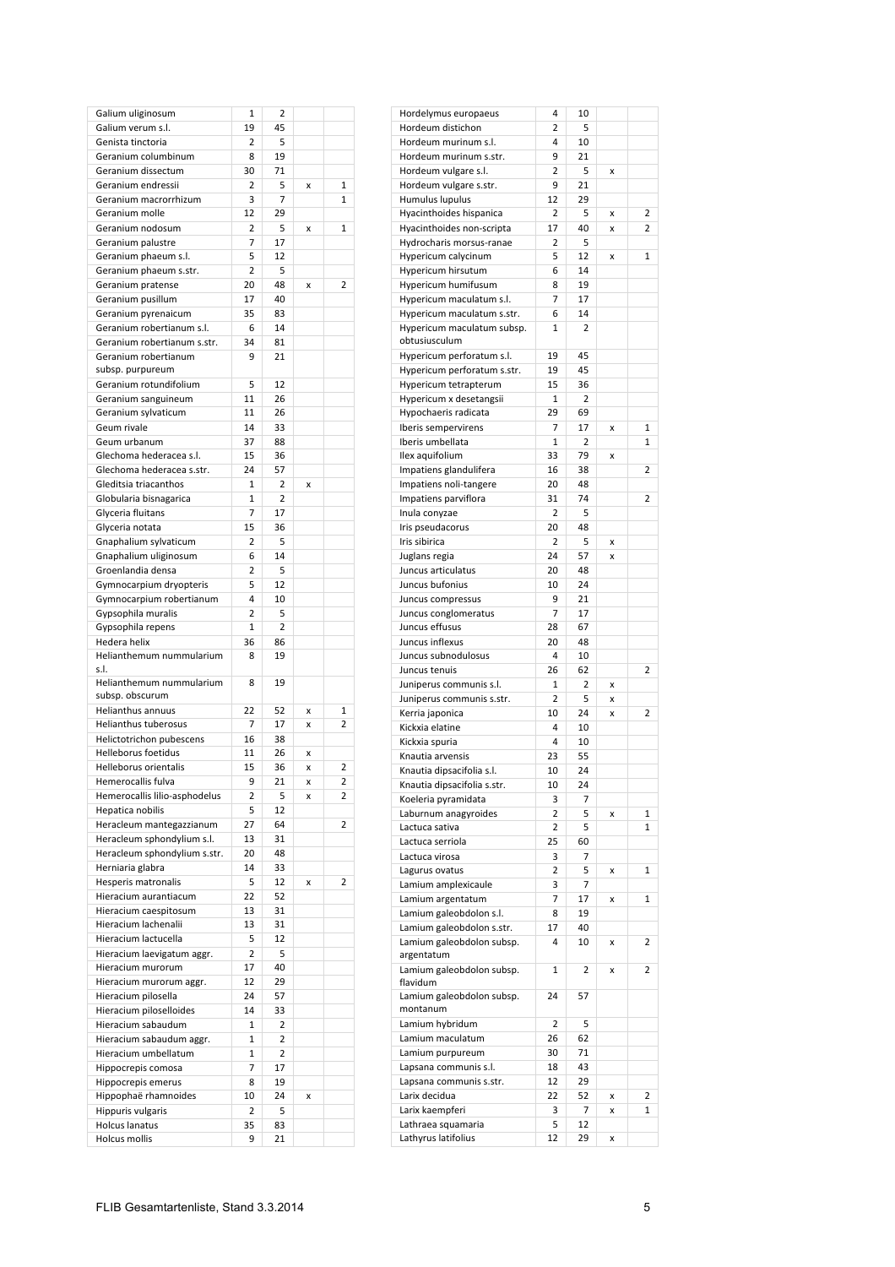| Galium uliginosum                                      | 1            | 2        |        |              |
|--------------------------------------------------------|--------------|----------|--------|--------------|
| Galium verum s.l.                                      | 19           | 45       |        |              |
| Genista tinctoria                                      | 2            | 5        |        |              |
| Geranium columbinum                                    | 8            | 19       |        |              |
| Geranium dissectum                                     | 30           | 71       |        |              |
| Geranium endressii                                     | 2            | 5        | x      | 1            |
| Geranium macrorrhizum                                  | 3            | 7        |        | $\mathbf{1}$ |
| Geranium molle                                         | 12           | 29       |        |              |
| Geranium nodosum                                       | 2            | 5        | X      | $\mathbf{1}$ |
| Geranium palustre                                      | 7            | 17<br>12 |        |              |
| Geranium phaeum s.l.                                   | 5            |          |        |              |
| Geranium phaeum s.str.                                 | 2<br>20      | 5<br>48  |        | 2            |
| Geranium pratense<br>Geranium pusillum                 | 17           | 40       | x      |              |
| Geranium pyrenaicum                                    | 35           | 83       |        |              |
| Geranium robertianum s.l.                              | 6            | 14       |        |              |
| Geranium robertianum s.str.                            | 34           | 81       |        |              |
| Geranium robertianum                                   | 9            | 21       |        |              |
| subsp. purpureum                                       |              |          |        |              |
| Geranium rotundifolium                                 | 5            | 12       |        |              |
| Geranium sanguineum                                    | 11           | 26       |        |              |
| Geranium sylvaticum                                    | 11           | 26       |        |              |
| Geum rivale                                            | 14           | 33       |        |              |
| Geum urbanum                                           | 37           | 88       |        |              |
| Glechoma hederacea s.l.                                | 15           | 36       |        |              |
| Glechoma hederacea s.str.                              | 24           | 57       |        |              |
| Gleditsia triacanthos                                  | 1            | 2        | x      |              |
| Globularia bisnagarica                                 | 1            | 2        |        |              |
| Glyceria fluitans                                      | 7            | 17       |        |              |
| Glyceria notata                                        | 15           | 36       |        |              |
| Gnaphalium sylvaticum                                  | 2            | 5        |        |              |
| Gnaphalium uliginosum                                  | 6            | 14       |        |              |
| Groenlandia densa                                      | 2            | 5        |        |              |
| Gymnocarpium dryopteris                                | 5            | 12       |        |              |
| Gymnocarpium robertianum                               | 4            | 10       |        |              |
| Gypsophila muralis                                     | 2            | 5        |        |              |
| Gypsophila repens                                      | 1            | 2        |        |              |
|                                                        |              |          |        |              |
| Hedera helix                                           | 36           | 86       |        |              |
| Helianthemum nummularium                               | 8            | 19       |        |              |
| s.l.                                                   |              |          |        |              |
| Helianthemum nummularium                               | 8            | 19       |        |              |
| subsp. obscurum                                        |              |          |        |              |
| Helianthus annuus                                      | 22           | 52       | x      | 1            |
| Helianthus tuberosus                                   | 7            | 17       | x      | 2            |
| Helictotrichon pubescens                               | 16<br>11     | 38       |        |              |
| Helleborus foetidus                                    |              | 26       | x      |              |
| Helleborus orientalis<br>Hemerocallis fulva            | 15<br>9      | 36<br>21 | X<br>x | 2<br>2       |
|                                                        | 2            | 5        | X      | 2            |
| Hemerocallis lilio-asphodelus<br>Hepatica nobilis      | 5            | 12       |        |              |
|                                                        | 27           | 64       |        | 2            |
| Heracleum mantegazzianum<br>Heracleum sphondylium s.l. | 13           | 31       |        |              |
| Heracleum sphondylium s.str.                           | 20           | 48       |        |              |
| Herniaria glabra                                       | 14           | 33       |        |              |
| Hesperis matronalis                                    | 5            | 12       | x      | 2            |
| Hieracium aurantiacum                                  | 22           | 52       |        |              |
| Hieracium caespitosum                                  | 13           | 31       |        |              |
| Hieracium lachenalii                                   | 13           | 31       |        |              |
| Hieracium lactucella                                   | 5            | 12       |        |              |
| Hieracium laevigatum aggr.                             | 2            | 5        |        |              |
| Hieracium murorum                                      | 17           | 40       |        |              |
| Hieracium murorum aggr.                                | 12           | 29       |        |              |
| Hieracium pilosella                                    | 24           | 57       |        |              |
| Hieracium piloselloides                                | 14           | 33       |        |              |
| Hieracium sabaudum                                     | 1            | 2        |        |              |
| Hieracium sabaudum aggr.                               | 1            | 2        |        |              |
| Hieracium umbellatum                                   | $\mathbf{1}$ | 2        |        |              |
| Hippocrepis comosa                                     | 7            | 17       |        |              |
| Hippocrepis emerus                                     | 8            | 19       |        |              |
| Hippophaë rhamnoides                                   | 10           | 24       | x      |              |
| Hippuris vulgaris                                      | 2            | 5        |        |              |
| <b>Holcus lanatus</b><br>Holcus mollis                 | 35<br>9      | 83<br>21 |        |              |

| Hordelymus europaeus        | 4              | 10 |   |              |
|-----------------------------|----------------|----|---|--------------|
| Hordeum distichon           | 2              | 5  |   |              |
| Hordeum murinum s.l.        | 4              | 10 |   |              |
| Hordeum murinum s.str.      | 9              | 21 |   |              |
| Hordeum vulgare s.l.        | 2              | 5  | X |              |
| Hordeum vulgare s.str.      | 9              | 21 |   |              |
| Humulus lupulus             | 12             | 29 |   |              |
|                             | $\overline{2}$ |    |   |              |
| Hyacinthoides hispanica     |                | 5  | X | 2            |
| Hyacinthoides non-scripta   | 17             | 40 | X | 2            |
| Hydrocharis morsus-ranae    | 2              | 5  |   |              |
| Hypericum calycinum         | 5              | 12 | x | $\mathbf{1}$ |
| Hypericum hirsutum          | 6              | 14 |   |              |
| Hypericum humifusum         | 8              | 19 |   |              |
| Hypericum maculatum s.l.    | 7              | 17 |   |              |
| Hypericum maculatum s.str.  | 6              | 14 |   |              |
| Hypericum maculatum subsp.  | 1              | 2  |   |              |
| obtusiusculum               |                |    |   |              |
| Hypericum perforatum s.l.   | 19             | 45 |   |              |
| Hypericum perforatum s.str. | 19             | 45 |   |              |
| Hypericum tetrapterum       | 15             | 36 |   |              |
| Hypericum x desetangsii     | 1              | 2  |   |              |
| Hypochaeris radicata        | 29             | 69 |   |              |
| Iberis sempervirens         | 7              | 17 |   | 1            |
| Iberis umbellata            |                |    | X |              |
|                             | $\mathbf{1}$   | 2  |   | $\mathbf{1}$ |
| Ilex aquifolium             | 33             | 79 | X |              |
| Impatiens glandulifera      | 16             | 38 |   | 2            |
| Impatiens noli-tangere      | 20             | 48 |   |              |
| Impatiens parviflora        | 31             | 74 |   | 2            |
| Inula conyzae               | $\overline{2}$ | 5  |   |              |
| Iris pseudacorus            | 20             | 48 |   |              |
| Iris sibirica               | 2              | 5  | X |              |
| Juglans regia               | 24             | 57 | x |              |
| Juncus articulatus          | 20             | 48 |   |              |
| Juncus bufonius             | 10             | 24 |   |              |
| Juncus compressus           | 9              | 21 |   |              |
| Juncus conglomeratus        | 7              | 17 |   |              |
| Juncus effusus              | 28             | 67 |   |              |
| Juncus inflexus             | 20             | 48 |   |              |
|                             |                |    |   |              |
| Juncus subnodulosus         | 4              | 10 |   |              |
| Juncus tenuis               | 26             | 62 |   | 2            |
| Juniperus communis s.l.     | 1              | 2  | X |              |
| Juniperus communis s.str.   | 2              | 5  | x |              |
| Kerria japonica             | 10             | 24 | x | 2            |
| Kickxia elatine             | 4              | 10 |   |              |
| Kickxia spuria              | 4              | 10 |   |              |
| Knautia arvensis            | 23             | 55 |   |              |
| Knautia dipsacifolia s.l.   | 10             | 24 |   |              |
| Knautia dipsacifolia s.str. | 10             | 24 |   |              |
| Koeleria pyramidata         | 3              | 7  |   |              |
| Laburnum anagyroides        | 2              | 5  | X | 1            |
| Lactuca sativa              | 2              | 5  |   | 1            |
|                             |                |    |   |              |
| Lactuca serriola            | 25             | 60 |   |              |
| Lactuca virosa              | 3              | 7  |   |              |
| Lagurus ovatus              | 2              | 5  | X | 1            |
| Lamium amplexicaule         | 3              | 7  |   |              |
| Lamium argentatum           | 7              | 17 | X | 1            |
| Lamium galeobdolon s.l.     | 8              | 19 |   |              |
| Lamium galeobdolon s.str.   | 17             | 40 |   |              |
| Lamium galeobdolon subsp.   | 4              | 10 | X | 2            |
| argentatum                  |                |    |   |              |
| Lamium galeobdolon subsp.   | 1              | 2  | x | 2            |
| flavidum                    |                |    |   |              |
| Lamium galeobdolon subsp.   | 24             | 57 |   |              |
| montanum                    |                |    |   |              |
| Lamium hybridum             | 2              | 5  |   |              |
| Lamium maculatum            | 26             | 62 |   |              |
| Lamium purpureum            | 30             | 71 |   |              |
| Lapsana communis s.l.       | 18             | 43 |   |              |
| Lapsana communis s.str.     | 12             | 29 |   |              |
| Larix decidua               | 22             | 52 | X | 2            |
|                             |                | 7  |   |              |
| Larix kaempferi             | 3              |    | X | 1            |
| Lathraea squamaria          | 5              | 12 |   |              |
| Lathyrus latifolius         | 12             | 29 | X |              |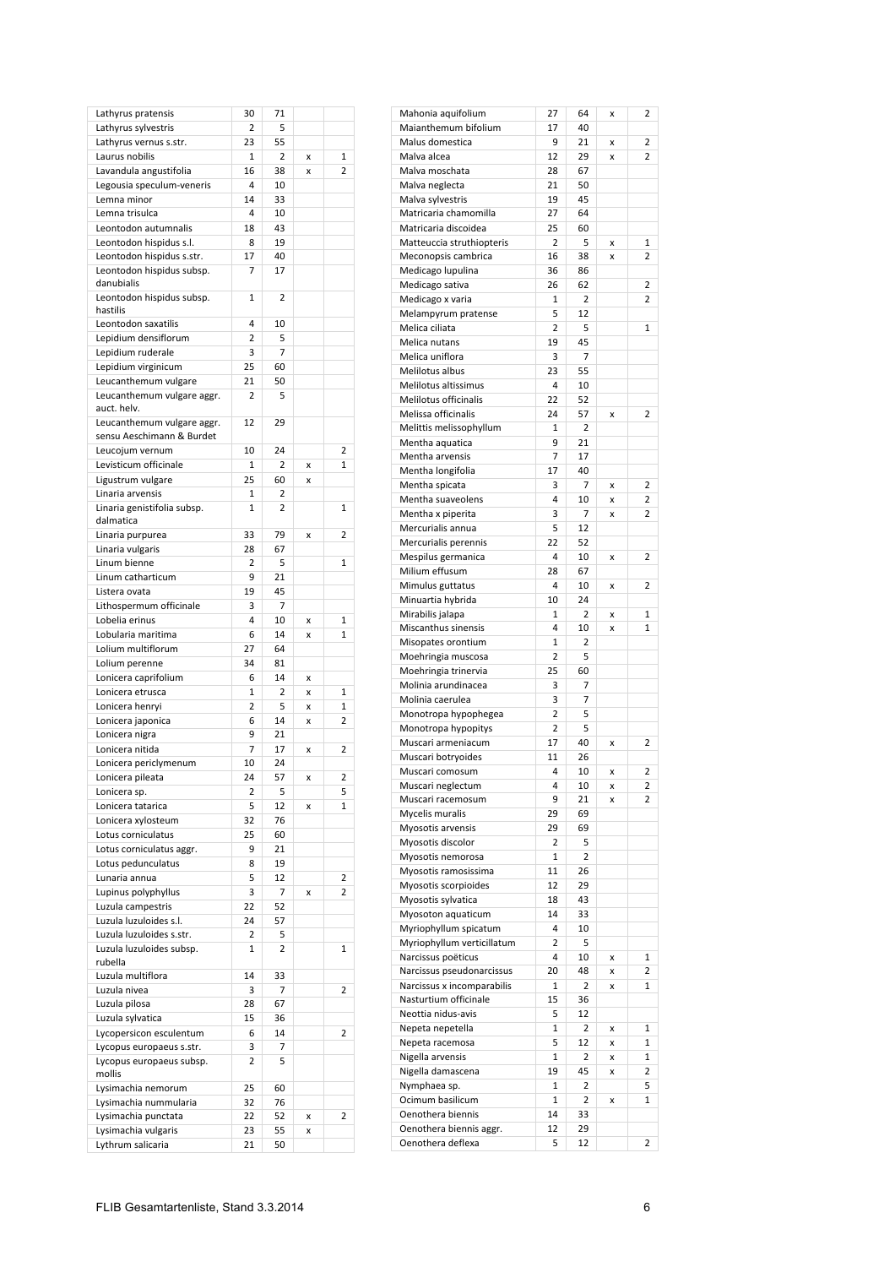| Lathyrus pratensis                                      | 30             | 71 |   |              |
|---------------------------------------------------------|----------------|----|---|--------------|
| Lathyrus sylvestris                                     | 2              | 5  |   |              |
| Lathyrus vernus s.str.                                  | 23             | 55 |   |              |
| Laurus nobilis                                          | 1              | 2  | x | 1            |
| Lavandula angustifolia                                  | 16             | 38 | x | 2            |
| Legousia speculum-veneris                               | 4              | 10 |   |              |
| Lemna minor                                             | 14             | 33 |   |              |
| Lemna trisulca                                          | 4              | 10 |   |              |
| Leontodon autumnalis                                    | 18             | 43 |   |              |
| Leontodon hispidus s.l.                                 | 8              | 19 |   |              |
| Leontodon hispidus s.str.                               | 17             | 40 |   |              |
| Leontodon hispidus subsp.<br>danubialis                 | 7              | 17 |   |              |
| Leontodon hispidus subsp.<br>hastilis                   | 1              | 2  |   |              |
| Leontodon saxatilis                                     | 4              | 10 |   |              |
| Lepidium densiflorum                                    | 2              | 5  |   |              |
| Lepidium ruderale                                       | 3              | 7  |   |              |
| Lepidium virginicum                                     | 25             | 60 |   |              |
| Leucanthemum vulgare                                    | 21             | 50 |   |              |
| Leucanthemum vulgare aggr.<br>auct. helv.               | 2              | 5  |   |              |
| Leucanthemum vulgare aggr.<br>sensu Aeschimann & Burdet | 12             | 29 |   |              |
| Leucojum vernum                                         | 10             | 24 |   | 2            |
| Levisticum officinale                                   | 1              | 2  | x | $\mathbf{1}$ |
| Ligustrum vulgare                                       | 25             | 60 | x |              |
| Linaria arvensis                                        | 1              | 2  |   |              |
| Linaria genistifolia subsp.<br>dalmatica                | $\mathbf{1}$   | 2  |   | 1            |
| Linaria purpurea                                        | 33             | 79 | x | 2            |
| Linaria vulgaris                                        | 28             | 67 |   |              |
| Linum bienne                                            | 2              | 5  |   | 1            |
| Linum catharticum                                       | 9              | 21 |   |              |
| Listera ovata                                           | 19             | 45 |   |              |
| Lithospermum officinale                                 | 3              | 7  |   |              |
| Lobelia erinus                                          | 4              | 10 | x | $\mathbf{1}$ |
| Lobularia maritima                                      | 6              | 14 | x | 1            |
| Lolium multiflorum                                      | 27             | 64 |   |              |
| Lolium perenne                                          | 34             | 81 |   |              |
| Lonicera caprifolium                                    | 6              | 14 | X |              |
| Lonicera etrusca                                        | $\mathbf{1}$   | 2  | x | $\mathbf{1}$ |
| Lonicera henryi                                         | 2              | 5  | x | 1            |
| Lonicera japonica                                       | 6              | 14 | x | 2            |
| Lonicera nigra                                          | 9              | 21 |   |              |
| Lonicera nitida                                         | 7              | 17 | x | 2            |
| Lonicera periclymenum                                   | 10             | 24 |   |              |
| Lonicera pileata                                        | 24             | 57 | x | 2            |
| Lonicera sp.                                            | 2              | 5  |   | 5            |
| Lonicera tatarica                                       | 5              | 12 | x | 1            |
| Lonicera xylosteum                                      | 32             | 76 |   |              |
| Lotus corniculatus                                      | 25             | 60 |   |              |
| Lotus corniculatus aggr.                                | 9              | 21 |   |              |
| Lotus pedunculatus                                      | 8              | 19 |   |              |
| Lunaria annua                                           | 5              | 12 |   | 2            |
| Lupinus polyphyllus                                     | 3              | 7  | x | 2            |
| Luzula campestris                                       | 22             | 52 |   |              |
| Luzula luzuloides s.l.                                  | 24             | 57 |   |              |
| Luzula luzuloides s.str.                                | 2              | 5  |   |              |
| Luzula luzuloides subsp.<br>rubella                     | 1              | 2  |   | $\mathbf{1}$ |
| Luzula multiflora                                       | 14             | 33 |   |              |
| Luzula nivea                                            | 3              | 7  |   | 2            |
| Luzula pilosa                                           | 28             | 67 |   |              |
| Luzula sylvatica                                        | 15             | 36 |   |              |
| Lycopersicon esculentum                                 | 6              | 14 |   | 2            |
| Lycopus europaeus s.str.                                | 3              | 7  |   |              |
| Lycopus europaeus subsp.                                | $\overline{2}$ | 5  |   |              |
| mollis                                                  |                |    |   |              |
| Lysimachia nemorum                                      | 25             | 60 |   |              |
| Lysimachia nummularia                                   | 32             | 76 |   |              |
| Lysimachia punctata                                     | 22             | 52 | x | 2            |
| Lysimachia vulgaris                                     | 23             | 55 | x |              |
| Lythrum salicaria                                       | 21             | 50 |   |              |

| Mahonia aquifolium         | 27 | 64             | X | 2              |
|----------------------------|----|----------------|---|----------------|
| Maianthemum bifolium       | 17 | 40             |   |                |
| Malus domestica            | 9  | 21             | X | 2              |
| Malva alcea                | 12 | 29             | x | 2              |
|                            |    |                |   |                |
| Malva moschata             | 28 | 67             |   |                |
| Malva neglecta             | 21 | 50             |   |                |
| Malva sylvestris           | 19 | 45             |   |                |
| Matricaria chamomilla      | 27 | 64             |   |                |
| Matricaria discoidea       | 25 | 60             |   |                |
| Matteuccia struthiopteris  | 2  | 5              | X | 1              |
|                            |    |                |   |                |
| Meconopsis cambrica        | 16 | 38             | X | 2              |
| Medicago lupulina          | 36 | 86             |   |                |
| Medicago sativa            | 26 | 62             |   | 2              |
| Medicago x varia           | 1  | 2              |   | 2              |
| Melampyrum pratense        | 5  | 12             |   |                |
|                            |    |                |   | 1              |
| Melica ciliata             | 2  | 5              |   |                |
| Melica nutans              | 19 | 45             |   |                |
| Melica uniflora            | 3  | 7              |   |                |
| Melilotus albus            | 23 | 55             |   |                |
| Melilotus altissimus       | 4  | 10             |   |                |
|                            |    |                |   |                |
| Melilotus officinalis      | 22 | 52             |   |                |
| Melissa officinalis        | 24 | 57             | X | 2              |
| Melittis melissophyllum    | 1  | $\overline{2}$ |   |                |
| Mentha aquatica            | 9  | 21             |   |                |
| Mentha arvensis            | 7  | 17             |   |                |
|                            |    |                |   |                |
| Mentha longifolia          | 17 | 40             |   |                |
| Mentha spicata             | 3  | 7              | X | 2              |
| Mentha suaveolens          | 4  | 10             | X | 2              |
| Mentha x piperita          | 3  | 7              | X | 2              |
| Mercurialis annua          | 5  | 12             |   |                |
|                            |    | 52             |   |                |
| Mercurialis perennis       | 22 |                |   |                |
| Mespilus germanica         | 4  | 10             | X | 2              |
| Milium effusum             | 28 | 67             |   |                |
| Mimulus guttatus           | 4  | 10             | X | 2              |
| Minuartia hybrida          | 10 | 24             |   |                |
| Mirabilis jalapa           | 1  | $\overline{2}$ |   | 1              |
|                            |    |                | X |                |
| Miscanthus sinensis        | 4  | 10             | X | 1              |
| Misopates orontium         | 1  | 2              |   |                |
| Moehringia muscosa         | 2  | 5              |   |                |
| Moehringia trinervia       | 25 | 60             |   |                |
| Molinia arundinacea        | 3  | 7              |   |                |
|                            |    |                |   |                |
| Molinia caerulea           | 3  | 7              |   |                |
| Monotropa hypophegea       | 2  | 5              |   |                |
| Monotropa hypopitys        | 2  | 5              |   |                |
| Muscari armeniacum         | 17 | 40             | x | $\overline{2}$ |
| Muscari botryoides         | 11 | 26             |   |                |
|                            |    |                |   |                |
| Muscari comosum            | 4  | 10             | x | 2              |
| Muscari neglectum          | 4  | 10             | X | 2              |
| Muscari racemosum          | 9  | 21             | x | 2              |
| Mycelis muralis            | 29 | 69             |   |                |
| Myosotis arvensis          | 29 | 69             |   |                |
| Myosotis discolor          | 2  | 5              |   |                |
|                            |    |                |   |                |
| Myosotis nemorosa          | 1  | 2              |   |                |
| Myosotis ramosissima       | 11 | 26             |   |                |
| Myosotis scorpioides       | 12 | 29             |   |                |
| Myosotis sylvatica         | 18 | 43             |   |                |
| Myosoton aquaticum         | 14 | 33             |   |                |
|                            | 4  |                |   |                |
| Myriophyllum spicatum      |    | 10             |   |                |
| Myriophyllum verticillatum | 2  | 5              |   |                |
| Narcissus poëticus         | 4  | 10             | X | 1              |
| Narcissus pseudonarcissus  | 20 | 48             | x | 2              |
| Narcissus x incomparabilis | 1  | 2              | X | 1              |
| Nasturtium officinale      | 15 | 36             |   |                |
|                            |    |                |   |                |
| Neottia nidus-avis         | 5  | 12             |   |                |
| Nepeta nepetella           | 1  | 2              | X | 1              |
| Nepeta racemosa            | 5  | 12             | X | 1              |
| Nigella arvensis           | 1  | 2              | X | 1              |
| Nigella damascena          | 19 | 45             | X | 2              |
|                            |    |                |   |                |
| Nymphaea sp.               | 1  | 2              |   | 5              |
| Ocimum basilicum           | 1  | 2              | x | 1              |
| Oenothera biennis          | 14 | 33             |   |                |
| Oenothera biennis aggr.    | 12 | 29             |   |                |
|                            |    |                |   |                |
| Oenothera deflexa          | 5  | 12             |   | 2              |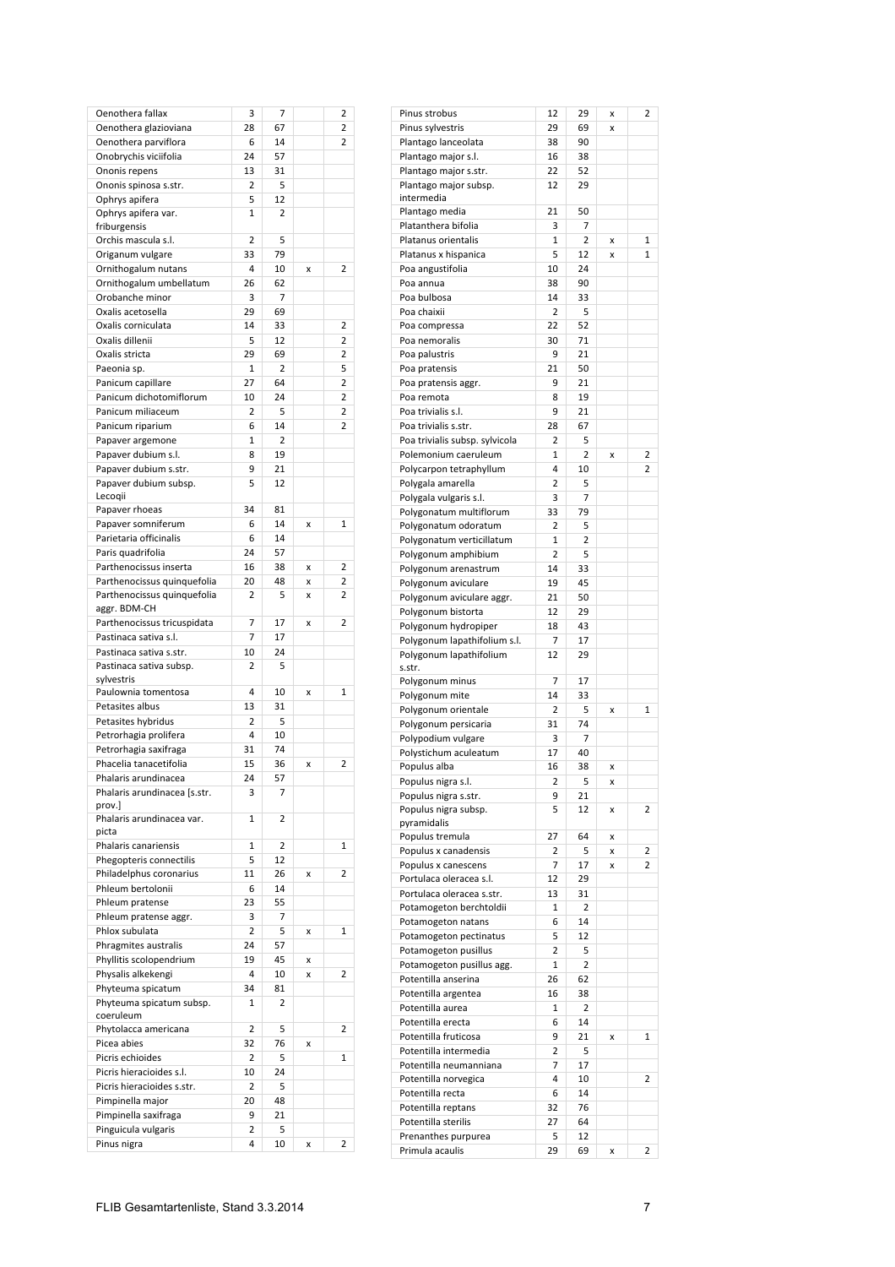| Oenothera fallax                            | 3                 | 7        |   | 2                       |
|---------------------------------------------|-------------------|----------|---|-------------------------|
| Oenothera glazioviana                       | 28                | 67       |   | 2                       |
| Oenothera parviflora                        | 6                 | 14       |   | 2                       |
| Onobrychis viciifolia                       | 24                | 57       |   |                         |
| Ononis repens                               | 13                | 31       |   |                         |
| Ononis spinosa s.str.                       | 2                 | 5        |   |                         |
| Ophrys apifera<br>Ophrys apifera var.       | 5<br>$\mathbf{1}$ | 12<br>2  |   |                         |
| friburgensis                                |                   |          |   |                         |
| Orchis mascula s.l.                         | $\overline{2}$    | 5        |   |                         |
| Origanum vulgare                            | 33                | 79       |   |                         |
| Ornithogalum nutans                         | 4                 | 10       | x | 2                       |
| Ornithogalum umbellatum                     | 26                | 62       |   |                         |
| Orobanche minor                             | 3                 | 7        |   |                         |
| Oxalis acetosella                           | 29                | 69       |   |                         |
| Oxalis corniculata                          | 14                | 33       |   | 2                       |
| Oxalis dillenii                             | 5                 | 12       |   | $\overline{\mathbf{c}}$ |
| Oxalis stricta<br>Paeonia sp.               | 29<br>1           | 69<br>2  |   | 2<br>5                  |
| Panicum capillare                           | 27                | 64       |   | 2                       |
| Panicum dichotomiflorum                     | 10                | 24       |   | 2                       |
| Panicum miliaceum                           | 2                 | 5        |   | 2                       |
| Panicum riparium                            | 6                 | 14       |   | 2                       |
| Papaver argemone                            | 1                 | 2        |   |                         |
| Papaver dubium s.l.                         | 8                 | 19       |   |                         |
| Papaver dubium s.str.                       | 9                 | 21       |   |                         |
| Papaver dubium subsp.                       | 5                 | 12       |   |                         |
| Lecogii                                     |                   |          |   |                         |
| Papaver rhoeas                              | 34                | 81       |   |                         |
| Papaver somniferum                          | 6                 | 14<br>14 | x | $\mathbf{1}$            |
| Parietaria officinalis<br>Paris quadrifolia | 6<br>24           | 57       |   |                         |
| Parthenocissus inserta                      | 16                | 38       | x | 2                       |
| Parthenocissus quinquefolia                 | 20                | 48       | x | 2                       |
| Parthenocissus quinquefolia                 | 2                 | 5        | x | 2                       |
| aggr. BDM-CH                                |                   |          |   |                         |
| Parthenocissus tricuspidata                 | 7                 | 17       | x | 2                       |
| Pastinaca sativa s.l.                       | 7                 | 17       |   |                         |
| Pastinaca sativa s.str.                     | 10                | 24       |   |                         |
| Pastinaca sativa subsp.                     | 2                 | 5        |   |                         |
| sylvestris                                  |                   |          |   |                         |
| Paulownia tomentosa<br>Petasites albus      | 4<br>13           | 10<br>31 | X | 1                       |
| Petasites hybridus                          | 2                 | 5        |   |                         |
| Petrorhagia prolifera                       | 4                 | 10       |   |                         |
| Petrorhagia saxifraga                       | 31                | 74       |   |                         |
| Phacelia tanacetifolia                      | 15                | 36       | x | 2                       |
| Phalaris arundinacea                        | 24                | 57       |   |                         |
| Phalaris arundinacea [s.str.                | 3                 | 7        |   |                         |
| prov.]                                      |                   |          |   |                         |
| Phalaris arundinacea var.                   | 1                 | 2        |   |                         |
| picta<br>Phalaris canariensis               | 1                 | 2        |   | 1                       |
| Phegopteris connectilis                     | 5                 | 12       |   |                         |
| Philadelphus coronarius                     | 11                | 26       | X | 2                       |
| Phleum bertolonii                           | 6                 | 14       |   |                         |
| Phleum pratense                             | 23                | 55       |   |                         |
| Phleum pratense aggr.                       | 3                 | 7        |   |                         |
| Phlox subulata                              | 2                 | 5        | x | $\mathbf{1}$            |
| Phragmites australis                        | 24                | 57       |   |                         |
| Phyllitis scolopendrium                     | 19                | 45       | X |                         |
| Physalis alkekengi                          | 4                 | 10       | x | 2                       |
| Phyteuma spicatum                           | 34                | 81       |   |                         |
| Phyteuma spicatum subsp.                    | $\mathbf{1}$      | 2        |   |                         |
| coeruleum                                   | 2                 |          |   |                         |
| Phytolacca americana<br>Picea abies         | 32                | 5<br>76  | x | 2                       |
| Picris echioides                            | 2                 | 5        |   | 1                       |
| Picris hieracioides s.l.                    | 10                | 24       |   |                         |
| Picris hieracioides s.str.                  | 2                 | 5        |   |                         |
| Pimpinella major                            | 20                | 48       |   |                         |
| Pimpinella saxifraga                        | 9                 | 21       |   |                         |
| Pinguicula vulgaris                         | 2                 | 5        |   |                         |
| Pinus nigra                                 | 4                 | 10       | X | 2                       |

| Pinus strobus                  | 12                      | 29 | x | $\overline{2}$ |
|--------------------------------|-------------------------|----|---|----------------|
| Pinus sylvestris               | 29                      | 69 | X |                |
| Plantago lanceolata            | 38                      | 90 |   |                |
| Plantago major s.l.            | 16                      | 38 |   |                |
| Plantago major s.str.          | 22                      | 52 |   |                |
| Plantago major subsp.          | 12                      | 29 |   |                |
|                                |                         |    |   |                |
| intermedia                     |                         |    |   |                |
| Plantago media                 | 21                      | 50 |   |                |
| Platanthera bifolia            | 3                       | 7  |   |                |
| Platanus orientalis            | 1                       | 2  | X | 1              |
| Platanus x hispanica           | 5                       | 12 | X | 1              |
| Poa angustifolia               | 10                      | 24 |   |                |
| Poa annua                      | 38                      | 90 |   |                |
|                                |                         |    |   |                |
| Poa bulbosa                    | 14                      | 33 |   |                |
| Poa chaixii                    | 2                       | 5  |   |                |
| Poa compressa                  | 22                      | 52 |   |                |
| Poa nemoralis                  | 30                      | 71 |   |                |
| Poa palustris                  | 9                       | 21 |   |                |
| Poa pratensis                  | 21                      | 50 |   |                |
| Poa pratensis aggr.            | 9                       | 21 |   |                |
|                                |                         |    |   |                |
| Poa remota                     | 8                       | 19 |   |                |
| Poa trivialis s.l.             | 9                       | 21 |   |                |
| Poa trivialis s.str.           | 28                      | 67 |   |                |
| Poa trivialis subsp. sylvicola | 2                       | 5  |   |                |
| Polemonium caeruleum           | 1                       | 2  | X | 2              |
| Polycarpon tetraphyllum        | 4                       | 10 |   | 2              |
| Polygala amarella              | 2                       | 5  |   |                |
| Polygala vulgaris s.l.         | 3                       | 7  |   |                |
|                                |                         |    |   |                |
| Polygonatum multiflorum        | 33                      | 79 |   |                |
| Polygonatum odoratum           | 2                       | 5  |   |                |
| Polygonatum verticillatum      | 1                       | 2  |   |                |
| Polygonum amphibium            | 2                       | 5  |   |                |
| Polygonum arenastrum           | 14                      | 33 |   |                |
| Polygonum aviculare            | 19                      | 45 |   |                |
| Polygonum aviculare aggr.      | 21                      | 50 |   |                |
|                                |                         |    |   |                |
| Polygonum bistorta             | 12                      | 29 |   |                |
| Polygonum hydropiper           | 18                      | 43 |   |                |
| Polygonum lapathifolium s.l.   | 7                       | 17 |   |                |
| Polygonum lapathifolium        | 12                      | 29 |   |                |
| s.str.                         |                         |    |   |                |
| Polygonum minus                | 7                       | 17 |   |                |
| Polygonum mite                 | 14                      | 33 |   |                |
| Polygonum orientale            | 2                       | 5  | X | $\mathbf{1}$   |
|                                |                         |    |   |                |
| Polygonum persicaria           | 31                      | 74 |   |                |
| Polypodium vulgare             | 3                       | 7  |   |                |
| Polystichum aculeatum          | 17                      | 40 |   |                |
| Populus alba                   | 16                      | 38 | X |                |
| Populus nigra s.l.             | $\overline{\mathbf{c}}$ | 5  | x |                |
| Populus nigra s.str.           | 9                       | 21 |   |                |
|                                |                         |    |   |                |
| Populus nigra subsp.           | 5                       | 12 | X | 2              |
| pyramidalis                    |                         |    |   |                |
| Populus tremula                | 27                      | 64 | X |                |
| Populus x canadensis           | 2                       | 5  | X | 2              |
| Populus x canescens            | 7                       | 17 | X | 2              |
| Portulaca oleracea s.l.        | 12                      | 29 |   |                |
| Portulaca oleracea s.str.      | 13                      | 31 |   |                |
| Potamogeton berchtoldii        | 1                       | 2  |   |                |
|                                |                         |    |   |                |
| Potamogeton natans             | 6                       | 14 |   |                |
| Potamogeton pectinatus         | 5                       | 12 |   |                |
| Potamogeton pusillus           | 2                       | 5  |   |                |
| Potamogeton pusillus agg.      | 1                       | 2  |   |                |
| Potentilla anserina            | 26                      | 62 |   |                |
| Potentilla argentea            | 16                      | 38 |   |                |
| Potentilla aurea               | 1                       | 2  |   |                |
|                                |                         |    |   |                |
| Potentilla erecta              | 6                       | 14 |   |                |
| Potentilla fruticosa           | 9                       | 21 | X | 1              |
| Potentilla intermedia          | 2                       | 5  |   |                |
| Potentilla neumanniana         | 7                       | 17 |   |                |
| Potentilla norvegica           | 4                       | 10 |   | 2              |
| Potentilla recta               | 6                       | 14 |   |                |
| Potentilla reptans             | 32                      | 76 |   |                |
| Potentilla sterilis            | 27                      | 64 |   |                |
|                                |                         |    |   |                |
| Prenanthes purpurea            | 5                       | 12 |   |                |
| Primula acaulis                | 29                      | 69 | X | 2              |
|                                |                         |    |   |                |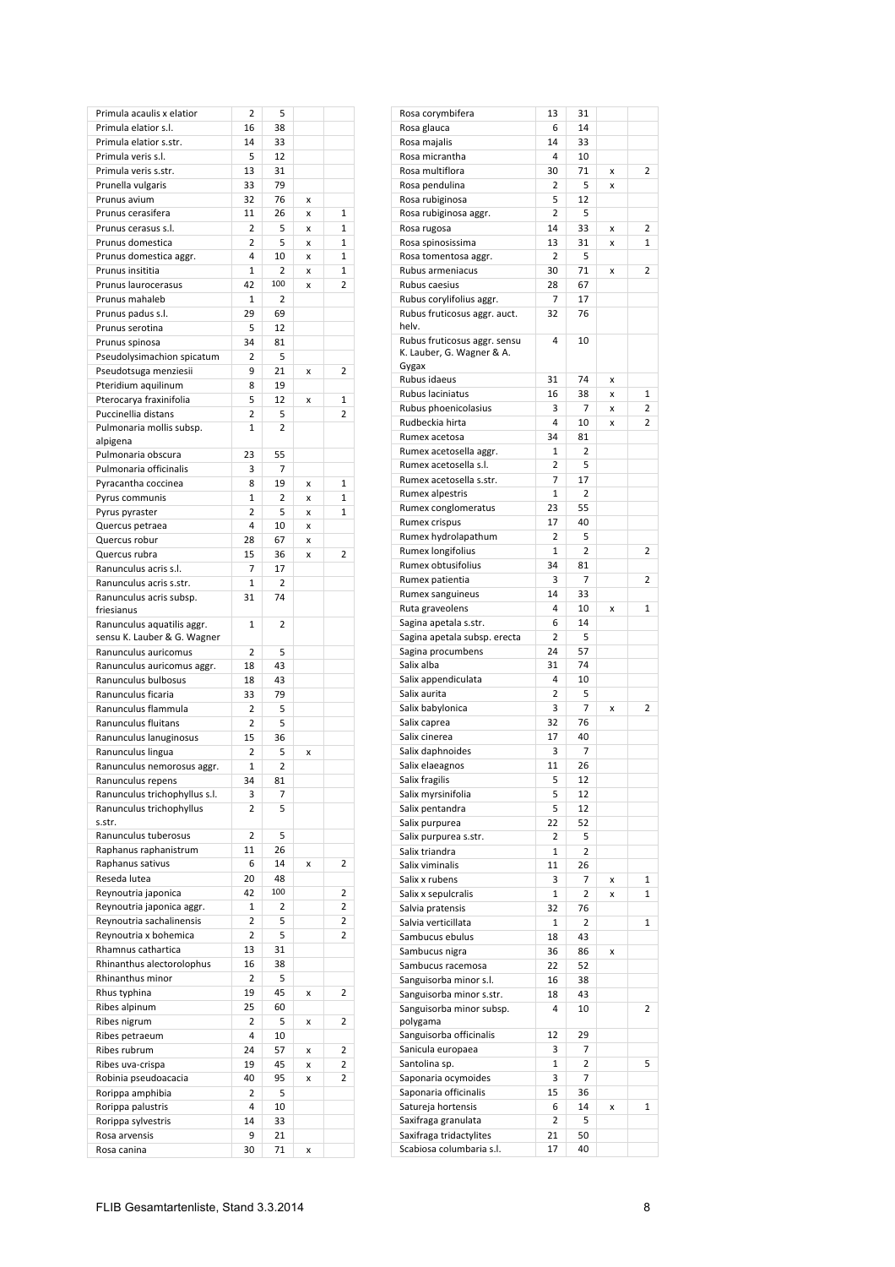| Primula acaulis x elatior                        | 2              | 5              |   |              |
|--------------------------------------------------|----------------|----------------|---|--------------|
| Primula elatior s.l.                             | 16             | 38             |   |              |
| Primula elatior s.str.                           | 14             | 33             |   |              |
| Primula veris s.l.                               | 5              | 12             |   |              |
| Primula veris s.str.<br>Prunella vulgaris        | 13<br>33       | 31<br>79       |   |              |
| Prunus avium                                     | 32             | 76             | x |              |
| Prunus cerasifera                                | 11             | 26             | x | $\mathbf{1}$ |
| Prunus cerasus s.l.                              | 2              | 5              | X | 1            |
| Prunus domestica                                 | 2              | 5              | X | $\mathbf{1}$ |
| Prunus domestica aggr.                           | 4              | 10             | x | $\mathbf{1}$ |
| Prunus insititia                                 | $\mathbf{1}$   | 2              | x | $\mathbf{1}$ |
| Prunus laurocerasus                              | 42             | 100            | X | 2            |
| Prunus mahaleb                                   | 1              | 2              |   |              |
| Prunus padus s.l.                                | 29             | 69             |   |              |
| Prunus serotina                                  | 5              | 12             |   |              |
| Prunus spinosa                                   | 34             | 81             |   |              |
| Pseudolysimachion spicatum                       | 2              | 5              |   |              |
| Pseudotsuga menziesii                            | 9<br>8         | 21<br>19       | x | 2            |
| Pteridium aquilinum<br>Pterocarya fraxinifolia   | 5              | 12             | x | 1            |
| Puccinellia distans                              | 2              | 5              |   | 2            |
| Pulmonaria mollis subsp.                         | $\mathbf{1}$   | 2              |   |              |
| alpigena                                         |                |                |   |              |
| Pulmonaria obscura                               | 23             | 55             |   |              |
| Pulmonaria officinalis                           | 3              | 7              |   |              |
| Pyracantha coccinea                              | 8              | 19             | x | 1            |
| Pyrus communis                                   | 1              | 2              | X | 1            |
| Pyrus pyraster                                   | $\overline{2}$ | 5              | x | 1            |
| Quercus petraea                                  | 4              | 10             | X |              |
| Quercus robur                                    | 28             | 67             | x |              |
| Quercus rubra                                    | 15             | 36             | x | 2            |
| Ranunculus acris s.l.                            | 7              | 17             |   |              |
| Ranunculus acris s.str.                          | $\mathbf{1}$   | 2              |   |              |
| Ranunculus acris subsp.<br>friesianus            | 31             | 74             |   |              |
| Ranunculus aquatilis aggr.                       | $\mathbf{1}$   | 2              |   |              |
| sensu K. Lauber & G. Wagner                      |                |                |   |              |
| Ranunculus auricomus                             | $\overline{2}$ | 5              |   |              |
| Ranunculus auricomus aggr.                       | 18             | 43             |   |              |
| Ranunculus bulbosus                              | 18             | 43             |   |              |
| Ranunculus ficaria                               | 33             | 79             |   |              |
| Ranunculus flammula<br>Ranunculus fluitans       | 2<br>2         | 5<br>5         |   |              |
| Ranunculus lanuginosus                           | 15             | 36             |   |              |
| Ranunculus lingua                                | 2              | 5              | x |              |
| Ranunculus nemorosus aggr.                       | $\mathbf{1}$   | $\overline{2}$ |   |              |
| Ranunculus repens                                | 34             | 81             |   |              |
| Ranunculus trichophyllus s.l.                    | 3              | 7              |   |              |
| Ranunculus trichophyllus                         | 2              | 5              |   |              |
| s.str.                                           |                |                |   |              |
| Ranunculus tuberosus                             | 2              | 5              |   |              |
| Raphanus raphanistrum                            | 11             | 26             |   |              |
| Raphanus sativus                                 | 6              | 14<br>48       | X | 2            |
| Reseda lutea                                     | 20<br>42       | 100            |   | 2            |
| Reynoutria japonica<br>Reynoutria japonica aggr. | 1              | 2              |   | 2            |
| Reynoutria sachalinensis                         | 2              | 5              |   | 2            |
| Reynoutria x bohemica                            | 2              | 5              |   | 2            |
| Rhamnus cathartica                               | 13             | 31             |   |              |
| Rhinanthus alectorolophus                        | 16             | 38             |   |              |
| Rhinanthus minor                                 | 2              | 5              |   |              |
| Rhus typhina                                     | 19             | 45             | x | 2            |
| Ribes alpinum                                    | 25             | 60             |   |              |
| Ribes nigrum                                     | 2              | 5              | x | 2            |
| Ribes petraeum                                   | 4              | 10             |   |              |
| Ribes rubrum                                     | 24             | 57             | x | 2            |
| Ribes uva-crispa                                 | 19             | 45             | x | 2            |
| Robinia pseudoacacia                             | 40             | 95             | X | 2            |
| Rorippa amphibia                                 | 2              | 5              |   |              |
| Rorippa palustris                                | 4              | 10             |   |              |
| Rorippa sylvestris                               | 14             | 33             |   |              |
| Rosa arvensis<br>Rosa canina                     | 9<br>30        | 21<br>71       | X |              |
|                                                  |                |                |   |              |

| Rosa corymbifera                                                   | 13             | 31             |   |   |
|--------------------------------------------------------------------|----------------|----------------|---|---|
| Rosa glauca                                                        | 6              | 14             |   |   |
| Rosa majalis                                                       | 14             | 33             |   |   |
| Rosa micrantha                                                     | 4              | 10             |   |   |
| Rosa multiflora                                                    | 30             | 71             | X | 2 |
| Rosa pendulina                                                     | 2              | 5              | X |   |
| Rosa rubiginosa                                                    | 5              | 12             |   |   |
|                                                                    | 2              | 5              |   |   |
| Rosa rubiginosa aggr.                                              |                |                |   |   |
| Rosa rugosa                                                        | 14             | 33             | x | 2 |
| Rosa spinosissima                                                  | 13             | 31             | X | 1 |
| Rosa tomentosa aggr.                                               | 2              | 5              |   |   |
| Rubus armeniacus                                                   | 30             | 71             | X | 2 |
| Rubus caesius                                                      | 28             | 67             |   |   |
| Rubus corylifolius aggr.                                           | 7              | 17             |   |   |
| Rubus fruticosus aggr. auct.                                       | 32             | 76             |   |   |
| helv.                                                              |                |                |   |   |
| Rubus fruticosus aggr. sensu<br>K. Lauber, G. Wagner & A.<br>Gygax | 4              | 10             |   |   |
| Rubus idaeus                                                       | 31             | 74             | x |   |
|                                                                    | 16             |                |   |   |
| Rubus laciniatus                                                   |                | 38             | X | 1 |
| Rubus phoenicolasius                                               | 3              | 7              | X | 2 |
| Rudbeckia hirta                                                    | 4              | 10             | x | 2 |
| Rumex acetosa                                                      | 34             | 81             |   |   |
| Rumex acetosella aggr.                                             | 1              | 2              |   |   |
| Rumex acetosella s.l.                                              | 2              | 5              |   |   |
| Rumex acetosella s.str.                                            | 7              | 17             |   |   |
|                                                                    | $\overline{1}$ | $\overline{2}$ |   |   |
| Rumex alpestris                                                    |                |                |   |   |
| Rumex conglomeratus                                                | 23             | 55             |   |   |
| Rumex crispus                                                      | 17             | 40             |   |   |
| Rumex hydrolapathum                                                | 2              | 5              |   |   |
| Rumex longifolius                                                  | 1              | 2              |   | 2 |
| Rumex obtusifolius                                                 | 34             | 81             |   |   |
| Rumex patientia                                                    | 3              | 7              |   | 2 |
|                                                                    |                |                |   |   |
| Rumex sanguineus                                                   | 14             | 33             |   |   |
| Ruta graveolens                                                    | 4              | 10             | x | 1 |
| Sagina apetala s.str.                                              | 6              | 14             |   |   |
| Sagina apetala subsp. erecta                                       | 2              | 5              |   |   |
| Sagina procumbens                                                  | 24             | 57             |   |   |
| Salix alba                                                         | 31             | 74             |   |   |
| Salix appendiculata                                                | 4              | 10             |   |   |
| Salix aurita                                                       | 2              | 5              |   |   |
|                                                                    |                |                |   |   |
| Salix babylonica                                                   | 3              | 7              | X | 2 |
| Salix caprea                                                       | 32             | 76             |   |   |
| Salix cinerea                                                      | 17             | 40             |   |   |
| Salix daphnoides                                                   | 3              | 7              |   |   |
| Salix elaeagnos                                                    | 11             | 26             |   |   |
| Salix fragilis                                                     | 5              | 12             |   |   |
|                                                                    |                |                |   |   |
| Salix myrsinifolia                                                 | 5              | 12             |   |   |
| Salix pentandra                                                    | 5              | 12             |   |   |
| Salix purpurea                                                     | 22             | 52             |   |   |
| Salix purpurea s.str.                                              | 2              | 5              |   |   |
| Salix triandra                                                     | 1              | 2              |   |   |
| Salix viminalis                                                    | 11             | 26             |   |   |
| Salix x rubens                                                     | 3              | 7              | x | 1 |
|                                                                    |                |                |   |   |
| Salix x sepulcralis                                                | $\mathbf{1}$   | 2              | X | 1 |
| Salvia pratensis                                                   | 32             | 76             |   |   |
| Salvia verticillata                                                | 1              | 2              |   | 1 |
| Sambucus ebulus                                                    | 18             | 43             |   |   |
| Sambucus nigra                                                     | 36             | 86             | X |   |
| Sambucus racemosa                                                  | 22             | 52             |   |   |
| Sanguisorba minor s.l.                                             | 16             | 38             |   |   |
|                                                                    | 18             | 43             |   |   |
| Sanguisorba minor s.str.                                           |                |                |   |   |
| Sanguisorba minor subsp.                                           | 4              | 10             |   | 2 |
| polygama                                                           |                |                |   |   |
| Sanguisorba officinalis                                            | 12             | 29             |   |   |
| Sanicula europaea                                                  | 3              | 7              |   |   |
| Santolina sp.                                                      | 1              | 2              |   | 5 |
| Saponaria ocymoides                                                | 3              | 7              |   |   |
| Saponaria officinalis                                              | 15             | 36             |   |   |
| Satureja hortensis                                                 | 6              | 14             | X | 1 |
|                                                                    |                |                |   |   |
| Saxifraga granulata                                                | 2              | 5              |   |   |
| Saxifraga tridactylites                                            | 21             | 50             |   |   |
| Scabiosa columbaria s.l.                                           | 17             | 40             |   |   |
|                                                                    |                |                |   |   |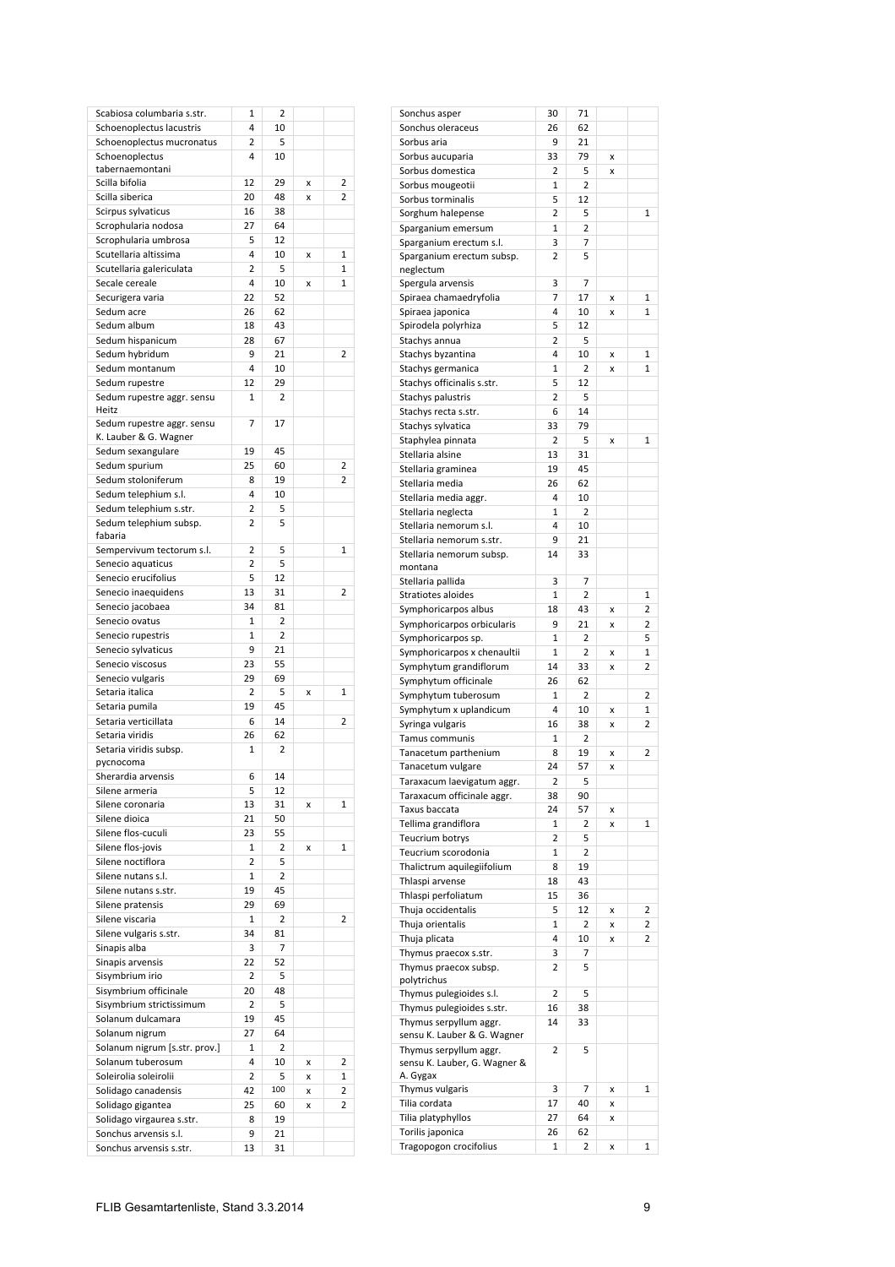| Scabiosa columbaria s.str.                          | 1                            | 2       |   |                |
|-----------------------------------------------------|------------------------------|---------|---|----------------|
| Schoenoplectus lacustris                            | 4                            | 10      |   |                |
| Schoenoplectus mucronatus                           | 2                            | 5       |   |                |
| Schoenoplectus                                      | 4                            | 10      |   |                |
| tabernaemontani<br>Scilla bifolia                   | 12                           | 29      | X | 2              |
| Scilla siberica                                     | 20                           | 48      | X | $\overline{2}$ |
| Scirpus sylvaticus                                  | 16                           | 38      |   |                |
| Scrophularia nodosa                                 | 27                           | 64      |   |                |
| Scrophularia umbrosa                                | 5                            | 12      |   |                |
| Scutellaria altissima                               | 4                            | 10      | x | 1              |
| Scutellaria galericulata                            | 2                            | 5       |   | 1              |
| Secale cereale                                      | 4                            | 10      | X | 1              |
| Securigera varia                                    | 22                           | 52      |   |                |
| Sedum acre                                          | 26                           | 62      |   |                |
| Sedum album                                         | 18                           | 43      |   |                |
| Sedum hispanicum                                    | 28                           | 67      |   |                |
| Sedum hybridum                                      | 9                            | 21      |   | 2              |
| Sedum montanum                                      | 4                            | 10      |   |                |
| Sedum rupestre                                      | 12                           | 29      |   |                |
| Sedum rupestre aggr. sensu<br>Heitz                 | 1                            | 2       |   |                |
| Sedum rupestre aggr. sensu<br>K. Lauber & G. Wagner | 7                            | 17      |   |                |
| Sedum sexangulare                                   | 19                           | 45      |   |                |
| Sedum spurium                                       | 25                           | 60      |   | 2              |
| Sedum stoloniferum                                  | 8                            | 19      |   | 2              |
| Sedum telephium s.l.                                | 4                            | 10      |   |                |
| Sedum telephium s.str.                              | 2                            | 5       |   |                |
| Sedum telephium subsp.<br>fabaria                   | 2                            | 5       |   |                |
| Sempervivum tectorum s.l.                           | 2                            | 5       |   | 1              |
| Senecio aquaticus                                   | 2                            | 5       |   |                |
| Senecio erucifolius                                 | 5                            | 12      |   |                |
| Senecio inaequidens                                 | 13                           | 31      |   | 2              |
| Senecio jacobaea                                    | 34                           | 81      |   |                |
| Senecio ovatus                                      | $\mathbf{1}$<br>$\mathbf{1}$ | 2<br>2  |   |                |
| Senecio rupestris                                   | 9                            | 21      |   |                |
| Senecio sylvaticus<br>Senecio viscosus              | 23                           | 55      |   |                |
| Senecio vulgaris                                    | 29                           | 69      |   |                |
| Setaria italica                                     | 2                            | 5       | X | 1              |
| Setaria pumila                                      | 19                           | 45      |   |                |
| Setaria verticillata                                | 6                            | 14      |   | 2              |
| Setaria viridis                                     | 26                           | 62      |   |                |
| Setaria viridis subsp.<br>pycnocoma                 | 1                            | 2       |   |                |
| Sherardia arvensis                                  | 6                            | 14      |   |                |
| Silene armeria                                      | 5                            | 12      |   |                |
| Silene coronaria                                    | 13                           | 31      | X | 1              |
| Silene dioica                                       | 21                           | 50      |   |                |
| Silene flos-cuculi                                  | 23                           | 55      |   |                |
| Silene flos-jovis                                   | 1                            | 2       | x | 1              |
| Silene noctiflora                                   | 2                            | 5       |   |                |
| Silene nutans s.l.                                  | 1                            | 2       |   |                |
| Silene nutans s.str.                                | 19                           | 45      |   |                |
| Silene pratensis                                    | 29                           | 69      |   |                |
| Silene viscaria                                     | 1                            | 2       |   | 2              |
| Silene vulgaris s.str.                              | 34                           | 81      |   |                |
| Sinapis alba                                        | 3                            | 7       |   |                |
| Sinapis arvensis<br>Sisymbrium irio                 | 22<br>2                      | 52<br>5 |   |                |
| Sisymbrium officinale                               | 20                           | 48      |   |                |
| Sisymbrium strictissimum                            | 2                            | 5       |   |                |
| Solanum dulcamara                                   | 19                           | 45      |   |                |
| Solanum nigrum                                      | 27                           | 64      |   |                |
| Solanum nigrum [s.str. prov.]                       | 1                            | 2       |   |                |
| Solanum tuberosum                                   | 4                            | 10      | x | 2              |
| Soleirolia soleirolii                               | 2                            | 5       | x | 1              |
| Solidago canadensis                                 | 42                           | 100     | x | 2              |
| Solidago gigantea                                   | 25                           | 60      | x | 2              |
| Solidago virgaurea s.str.                           | 8                            | 19      |   |                |
| Sonchus arvensis s.l.                               | 9                            | 21      |   |                |
| Sonchus arvensis s.str.                             | 13                           | 31      |   |                |

| Sonchus asper                | 30             | 71             |   |   |
|------------------------------|----------------|----------------|---|---|
|                              |                |                |   |   |
| Sonchus oleraceus            | 26             | 62             |   |   |
| Sorbus aria                  | 9              | 21             |   |   |
| Sorbus aucuparia             | 33             | 79             | X |   |
| Sorbus domestica             | 2              | 5              | X |   |
| Sorbus mougeotii             | $\mathbf{1}$   | 2              |   |   |
| Sorbus torminalis            | 5              | 12             |   |   |
| Sorghum halepense            | 2              | 5              |   | 1 |
|                              |                |                |   |   |
| Sparganium emersum           | $\mathbf{1}$   | $\overline{2}$ |   |   |
| Sparganium erectum s.l.      | 3              | 7              |   |   |
| Sparganium erectum subsp.    | 2              | 5              |   |   |
| neglectum                    |                |                |   |   |
| Spergula arvensis            | 3              | 7              |   |   |
| Spiraea chamaedryfolia       | 7              | 17             | X | 1 |
| Spiraea japonica             | 4              | 10             | X | 1 |
|                              | 5              | 12             |   |   |
| Spirodela polyrhiza          |                |                |   |   |
| Stachys annua                | 2              | 5              |   |   |
| Stachys byzantina            | 4              | 10             | x | 1 |
| Stachys germanica            | $\mathbf{1}$   | 2              | x | 1 |
| Stachys officinalis s.str.   | 5              | 12             |   |   |
| Stachys palustris            | 2              | 5              |   |   |
| Stachys recta s.str.         | 6              | 14             |   |   |
|                              |                |                |   |   |
| Stachys sylvatica            | 33             | 79             |   |   |
| Staphylea pinnata            | $\overline{2}$ | 5              | X | 1 |
| Stellaria alsine             | 13             | 31             |   |   |
| Stellaria graminea           | 19             | 45             |   |   |
| Stellaria media              | 26             | 62             |   |   |
| Stellaria media aggr.        | 4              | 10             |   |   |
|                              |                |                |   |   |
| Stellaria neglecta           | $\mathbf{1}$   | 2              |   |   |
| Stellaria nemorum s.l.       | 4              | 10             |   |   |
| Stellaria nemorum s.str.     | 9              | 21             |   |   |
| Stellaria nemorum subsp.     | 14             | 33             |   |   |
| montana                      |                |                |   |   |
| Stellaria pallida            | 3              | 7              |   |   |
| Stratiotes aloides           | $\mathbf{1}$   | 2              |   | 1 |
| Symphoricarpos albus         | 18             | 43             | X | 2 |
|                              |                |                |   |   |
| Symphoricarpos orbicularis   | 9              | 21             | X | 2 |
| Symphoricarpos sp.           | 1              | 2              |   | 5 |
| Symphoricarpos x chenaultii  | $\overline{1}$ | $\overline{2}$ | X | 1 |
| Symphytum grandiflorum       | 14             | 33             | x | 2 |
| Symphytum officinale         | 26             | 62             |   |   |
| Symphytum tuberosum          | $\mathbf{1}$   | 2              |   | 2 |
|                              | 4              |                |   |   |
| Symphytum x uplandicum       |                | 10             | X | 1 |
| Syringa vulgaris             | 16             | 38             | X | 2 |
| Tamus communis               | 1              | $\overline{2}$ |   |   |
| Tanacetum parthenium         | 8              | 19             | X | 2 |
| Tanacetum vulgare            | 24             | 57             | x |   |
| Taraxacum laevigatum aggr.   | 2              | 5              |   |   |
|                              |                |                |   |   |
| Taraxacum officinale aggr.   | 38             | 90             |   |   |
| Taxus baccata                | 24             | 57             | X |   |
| Tellima grandiflora          | 1              | 2              | X | 1 |
| Teucrium botrys              | 2              | 5              |   |   |
| Teucrium scorodonia          | 1              | 2              |   |   |
| Thalictrum aquilegiifolium   | 8              | 19             |   |   |
| Thlaspi arvense              | 18             | 43             |   |   |
|                              |                |                |   |   |
| Thlaspi perfoliatum          | 15             | 36             |   |   |
| Thuja occidentalis           | 5              | 12             | X | 2 |
| Thuja orientalis             | 1              | 2              | X | 2 |
| Thuja plicata                | 4              | 10             | x | 2 |
| Thymus praecox s.str.        | 3              | 7              |   |   |
| Thymus praecox subsp.        | 2              | 5              |   |   |
| polytrichus                  |                |                |   |   |
| Thymus pulegioides s.l.      | 2              | 5              |   |   |
|                              |                |                |   |   |
| Thymus pulegioides s.str.    | 16             | 38             |   |   |
| Thymus serpyllum aggr.       | 14             | 33             |   |   |
| sensu K. Lauber & G. Wagner  |                |                |   |   |
| Thymus serpyllum aggr.       | 2              | 5              |   |   |
| sensu K. Lauber, G. Wagner & |                |                |   |   |
| A. Gygax                     |                |                |   |   |
| Thymus vulgaris              | 3              | 7              | x | 1 |
| Tilia cordata                | 17             | 40             | X |   |
| Tilia platyphyllos           | 27             | 64             | X |   |
|                              |                |                |   |   |
| Torilis japonica             | 26             | 62             |   |   |
| Tragopogon crocifolius       | 1              | 2              | X | 1 |